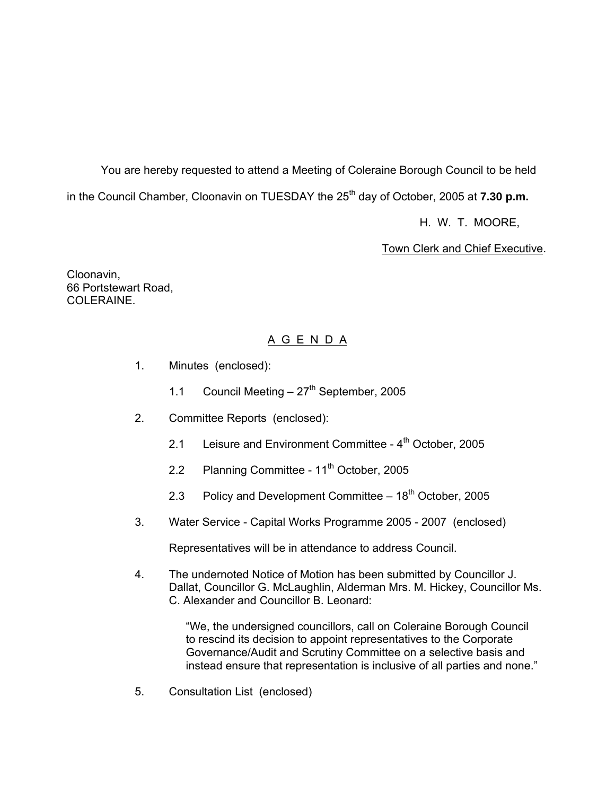You are hereby requested to attend a Meeting of Coleraine Borough Council to be held in the Council Chamber, Cloonavin on TUESDAY the 25<sup>th</sup> day of October, 2005 at **7.30 p.m.** 

H. W. T. MOORE,

Town Clerk and Chief Executive.

Cloonavin, 66 Portstewart Road, COLERAINE.

# A G E N D A

- 1. Minutes (enclosed):
	- 1.1 Council Meeting  $-27<sup>th</sup>$  September, 2005
- 2. Committee Reports (enclosed):
	- 2.1 Leisure and Environment Committee 4<sup>th</sup> October, 2005
	- 2.2 Planning Committee 11<sup>th</sup> October, 2005
	- 2.3 Policy and Development Committee  $-18<sup>th</sup>$  October, 2005
- 3. Water Service Capital Works Programme 2005 2007 (enclosed)

Representatives will be in attendance to address Council.

4. The undernoted Notice of Motion has been submitted by Councillor J. Dallat, Councillor G. McLaughlin, Alderman Mrs. M. Hickey, Councillor Ms. C. Alexander and Councillor B. Leonard:

> "We, the undersigned councillors, call on Coleraine Borough Council to rescind its decision to appoint representatives to the Corporate Governance/Audit and Scrutiny Committee on a selective basis and instead ensure that representation is inclusive of all parties and none."

5. Consultation List (enclosed)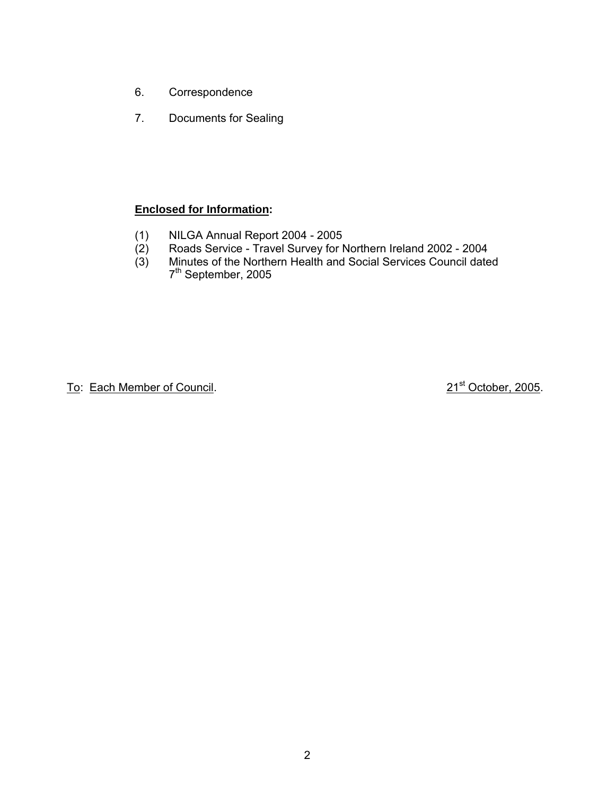- 6. Correspondence
- 7. Documents for Sealing

# **Enclosed for Information:**

- (1) NILGA Annual Report 2004 2005<br>(2) Roads Service Travel Survey for I
- (2) Roads Service Travel Survey for Northern Ireland 2002 2004
- (3) Minutes of the Northern Health and Social Services Council dated  $7<sup>th</sup>$  September, 2005

To: Each Member of Council. 21st October, 2005.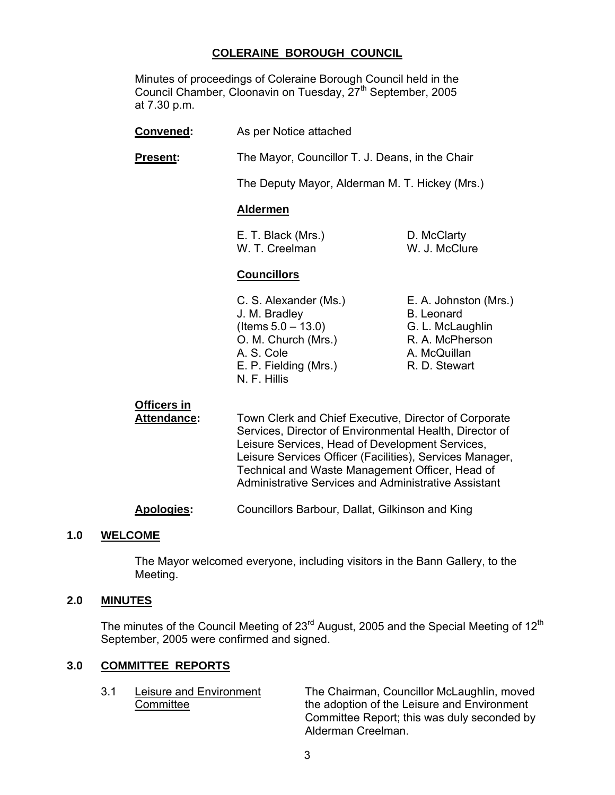# **COLERAINE BOROUGH COUNCIL**

 Minutes of proceedings of Coleraine Borough Council held in the Council Chamber, Cloonavin on Tuesday, 27<sup>th</sup> September, 2005 at 7.30 p.m.

- **Convened:** As per Notice attached
- **Present:** The Mayor, Councillor T. J. Deans, in the Chair

The Deputy Mayor, Alderman M. T. Hickey (Mrs.)

#### **Aldermen**

 E. T. Black (Mrs.) D. McClarty W. T. Creelman W. J. McClure

# **Councillors**

- J. M. Bradley B. Leonard  $($ ltems  $5.0 - 13.0)$  G. L. McLaughlin O. M. Church (Mrs.) R. A. McPherson A. S. Cole **A. McQuillan** E. P. Fielding (Mrs.) R. D. Stewart N. F. Hillis
- C. S. Alexander (Ms.) E. A. Johnston (Mrs.)

# **Officers in**

 **Attendance:** Town Clerk and Chief Executive, Director of Corporate Services, Director of Environmental Health, Director of Leisure Services, Head of Development Services, Leisure Services Officer (Facilities), Services Manager, Technical and Waste Management Officer, Head of Administrative Services and Administrative Assistant

**Apologies:** Councillors Barbour, Dallat, Gilkinson and King

#### **1.0 WELCOME**

 The Mayor welcomed everyone, including visitors in the Bann Gallery, to the Meeting.

#### **2.0 MINUTES**

The minutes of the Council Meeting of  $23<sup>rd</sup>$  August, 2005 and the Special Meeting of  $12<sup>th</sup>$ September, 2005 were confirmed and signed.

# **3.0 COMMITTEE REPORTS**

 3.1 Leisure and Environment The Chairman, Councillor McLaughlin, moved Committee the adoption of the Leisure and Environment Committee Report; this was duly seconded by Alderman Creelman.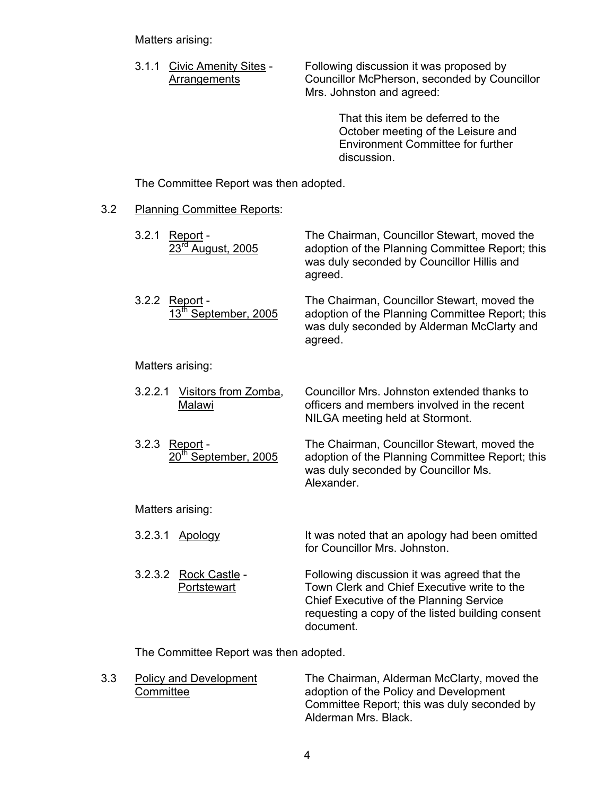Matters arising:

3.1.1 Civic Amenity Sites - Following discussion it was proposed by<br>Arrangements Councillor McPherson, seconded by Cou Councillor McPherson, seconded by Councillor Mrs. Johnston and agreed:

> That this item be deferred to the October meeting of the Leisure and Environment Committee for further discussion.

The Committee Report was then adopted.

#### 3.2 Planning Committee Reports:

| 3.2.1<br>Report -<br><u>23<sup>rd</sup> August, 2005</u> | The Chairman, Councillor Stewart, moved the<br>adoption of the Planning Committee Report; this<br>was duly seconded by Councillor Hillis and<br>agreed.                                                |
|----------------------------------------------------------|--------------------------------------------------------------------------------------------------------------------------------------------------------------------------------------------------------|
| 3.2.2 Report -<br>13 <sup>th</sup> September, 2005       | The Chairman, Councillor Stewart, moved the<br>adoption of the Planning Committee Report; this<br>was duly seconded by Alderman McClarty and<br>agreed.                                                |
| Matters arising:                                         |                                                                                                                                                                                                        |
| Visitors from Zomba,<br>3.2.2.1<br>Malawi                | Councillor Mrs. Johnston extended thanks to<br>officers and members involved in the recent<br>NILGA meeting held at Stormont.                                                                          |
| 3.2.3<br>Report -<br>20 <sup>th</sup> September, 2005    | The Chairman, Councillor Stewart, moved the<br>adoption of the Planning Committee Report; this<br>was duly seconded by Councillor Ms.<br>Alexander.                                                    |
| Matters arising:                                         |                                                                                                                                                                                                        |
| 3.2.3.1<br>Apology                                       | It was noted that an apology had been omitted<br>for Councillor Mrs. Johnston.                                                                                                                         |
| 3.2.3.2<br>Rock Castle -<br>Portstewart                  | Following discussion it was agreed that the<br>Town Clerk and Chief Executive write to the<br>Chief Executive of the Planning Service<br>requesting a copy of the listed building consent<br>document. |

The Committee Report was then adopted.

3.3 Policy and Development The Chairman, Alderman McClarty, moved the Committee committee adoption of the Policy and Development Committee Report; this was duly seconded by Alderman Mrs. Black.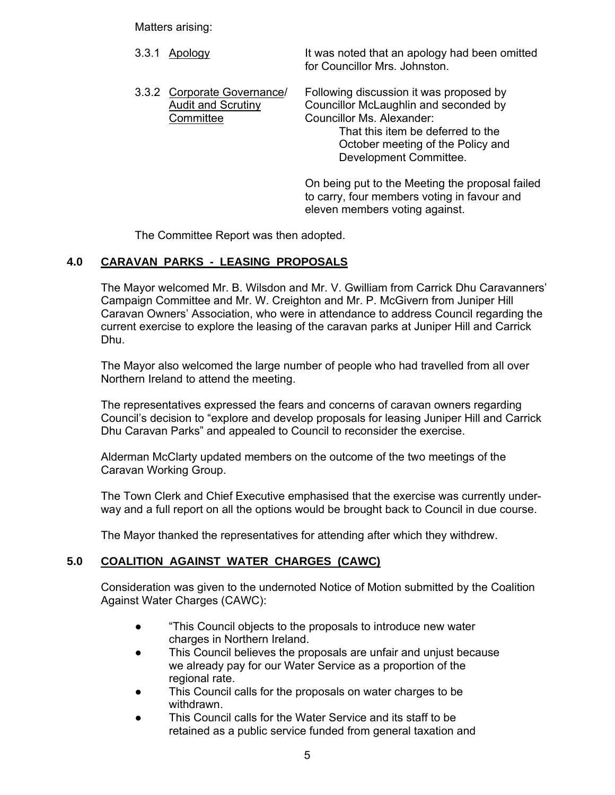Matters arising:

3.3.1 Apology **It was noted that an apology had been omitted**  for Councillor Mrs. Johnston. 3.3.2 Corporate Governance/ Following discussion it was proposed by Audit and Scrutiny Councillor McLaughlin and seconded by Committee Councillor Ms. Alexander: That this item be deferred to the October meeting of the Policy and Development Committee.

> On being put to the Meeting the proposal failed to carry, four members voting in favour and eleven members voting against.

The Committee Report was then adopted.

# **4.0 CARAVAN PARKS - LEASING PROPOSALS**

 The Mayor welcomed Mr. B. Wilsdon and Mr. V. Gwilliam from Carrick Dhu Caravanners' Campaign Committee and Mr. W. Creighton and Mr. P. McGivern from Juniper Hill Caravan Owners' Association, who were in attendance to address Council regarding the current exercise to explore the leasing of the caravan parks at Juniper Hill and Carrick Dhu.

The Mayor also welcomed the large number of people who had travelled from all over Northern Ireland to attend the meeting.

 The representatives expressed the fears and concerns of caravan owners regarding Council's decision to "explore and develop proposals for leasing Juniper Hill and Carrick Dhu Caravan Parks" and appealed to Council to reconsider the exercise.

 Alderman McClarty updated members on the outcome of the two meetings of the Caravan Working Group.

 The Town Clerk and Chief Executive emphasised that the exercise was currently under way and a full report on all the options would be brought back to Council in due course.

The Mayor thanked the representatives for attending after which they withdrew.

# **5.0 COALITION AGAINST WATER CHARGES (CAWC)**

 Consideration was given to the undernoted Notice of Motion submitted by the Coalition Against Water Charges (CAWC):

- "This Council objects to the proposals to introduce new water charges in Northern Ireland.
- This Council believes the proposals are unfair and unjust because we already pay for our Water Service as a proportion of the regional rate.
- This Council calls for the proposals on water charges to be withdrawn.
- This Council calls for the Water Service and its staff to be retained as a public service funded from general taxation and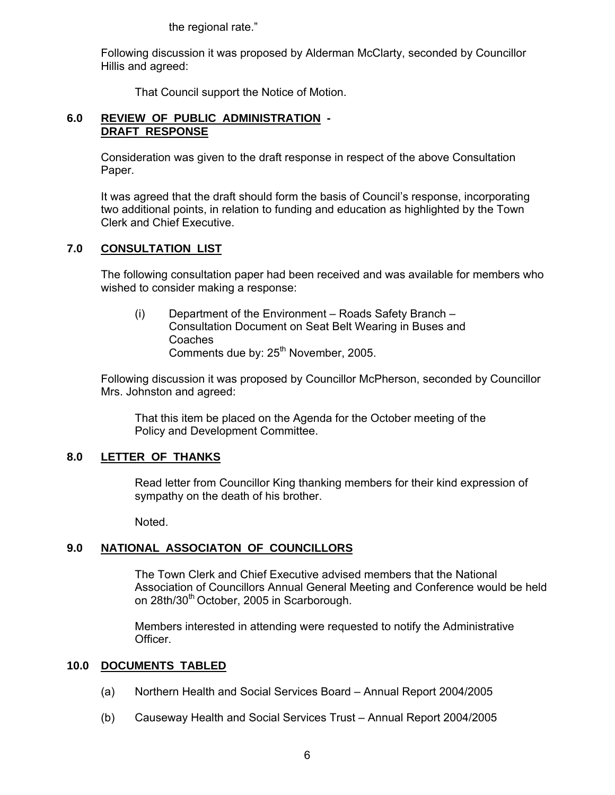the regional rate."

 Following discussion it was proposed by Alderman McClarty, seconded by Councillor Hillis and agreed:

That Council support the Notice of Motion.

# **6.0 REVIEW OF PUBLIC ADMINISTRATION - DRAFT RESPONSE**

 Consideration was given to the draft response in respect of the above Consultation Paper.

 It was agreed that the draft should form the basis of Council's response, incorporating two additional points, in relation to funding and education as highlighted by the Town Clerk and Chief Executive.

# **7.0 CONSULTATION LIST**

 The following consultation paper had been received and was available for members who wished to consider making a response:

 (i) Department of the Environment – Roads Safety Branch – Consultation Document on Seat Belt Wearing in Buses and Coaches Comments due by: 25<sup>th</sup> November, 2005.

 Following discussion it was proposed by Councillor McPherson, seconded by Councillor Mrs. Johnston and agreed:

 That this item be placed on the Agenda for the October meeting of the Policy and Development Committee.

# **8.0 LETTER OF THANKS**

 Read letter from Councillor King thanking members for their kind expression of sympathy on the death of his brother.

Noted.

# **9.0 NATIONAL ASSOCIATON OF COUNCILLORS**

 The Town Clerk and Chief Executive advised members that the National Association of Councillors Annual General Meeting and Conference would be held on 28th/30<sup>th</sup> October, 2005 in Scarborough.

 Members interested in attending were requested to notify the Administrative Officer.

# **10.0 DOCUMENTS TABLED**

- (a) Northern Health and Social Services Board Annual Report 2004/2005
- (b) Causeway Health and Social Services Trust Annual Report 2004/2005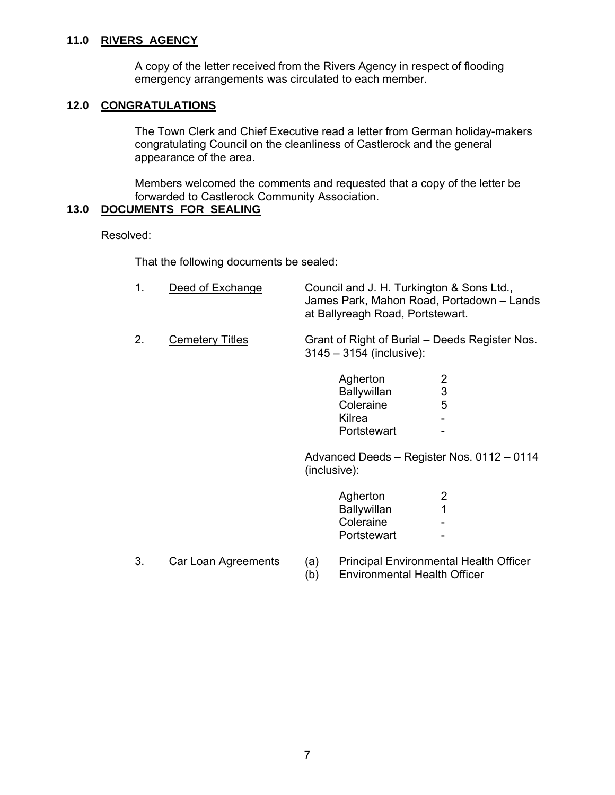#### **11.0 RIVERS AGENCY**

 A copy of the letter received from the Rivers Agency in respect of flooding emergency arrangements was circulated to each member.

# **12.0 CONGRATULATIONS**

 The Town Clerk and Chief Executive read a letter from German holiday-makers congratulating Council on the cleanliness of Castlerock and the general appearance of the area.

 Members welcomed the comments and requested that a copy of the letter be forwarded to Castlerock Community Association.

# **13.0 DOCUMENTS FOR SEALING**

Resolved:

That the following documents be sealed:

| 1. | Deed of Exchange       | Council and J. H. Turkington & Sons Ltd.,<br>James Park, Mahon Road, Portadown - Lands<br>at Ballyreagh Road, Portstewart. |                          |
|----|------------------------|----------------------------------------------------------------------------------------------------------------------------|--------------------------|
| 2. | <b>Cemetery Titles</b> | Grant of Right of Burial – Deeds Register Nos.<br>$3145 - 3154$ (inclusive):                                               |                          |
|    |                        | Agherton<br><b>Ballywillan</b><br>Coleraine<br>Kilrea<br>Portstewart                                                       | 2<br>$\mathfrak{S}$<br>5 |
|    |                        | Advanced Deeds - Register Nos. 0112 - 0114<br>(inclusive):                                                                 |                          |
|    |                        | Agherton<br><b>Ballywillan</b>                                                                                             | 2<br>1                   |
|    |                        | Coleraine<br>Portstewart                                                                                                   |                          |

- 
- 3. Car Loan Agreements (a) Principal Environmental Health Officer

(b) Environmental Health Officer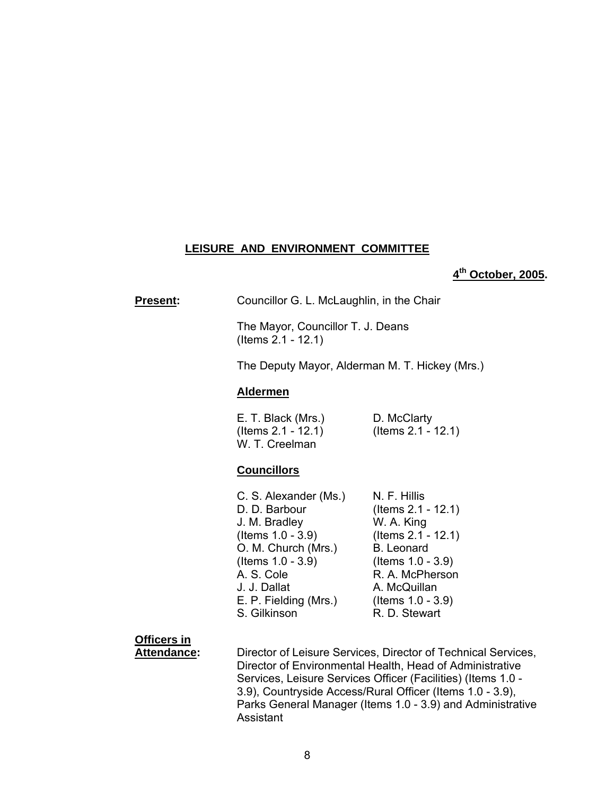#### **LEISURE AND ENVIRONMENT COMMITTEE**

# **4th October, 2005.**

**Present:** Councillor G. L. McLaughlin, in the Chair

 The Mayor, Councillor T. J. Deans (Items 2.1 - 12.1)

The Deputy Mayor, Alderman M. T. Hickey (Mrs.)

#### **Aldermen**

 E. T. Black (Mrs.) D. McClarty (Items 2.1 - 12.1) (Items 2.1 - 12.1) W. T. Creelman

#### **Councillors**

| C. S. Alexander (Ms.) | N. F. Hillis          |
|-----------------------|-----------------------|
| D. D. Barbour         | (Items $2.1 - 12.1$ ) |
| J. M. Bradley         | W. A. King            |
| (Items $1.0 - 3.9$ )  | (Items $2.1 - 12.1$ ) |
| O. M. Church (Mrs.)   | <b>B.</b> Leonard     |
| (Items 1.0 - 3.9)     | (Items $1.0 - 3.9$ )  |
| A. S. Cole            | R. A. McPherson       |
| J. J. Dallat          | A. McQuillan          |
| E. P. Fielding (Mrs.) | (Items $1.0 - 3.9$ )  |
| S. Gilkinson          | R. D. Stewart         |

**Officers in**

 **Attendance:** Director of Leisure Services, Director of Technical Services, Director of Environmental Health, Head of Administrative Services, Leisure Services Officer (Facilities) (Items 1.0 - 3.9), Countryside Access/Rural Officer (Items 1.0 - 3.9), Parks General Manager (Items 1.0 - 3.9) and Administrative Assistant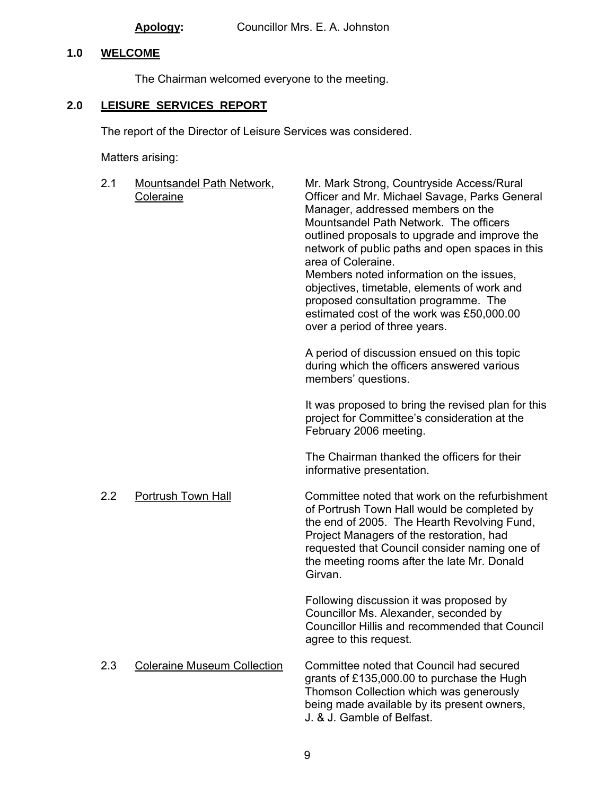# **1.0 WELCOME**

The Chairman welcomed everyone to the meeting.

# **2.0 LEISURE SERVICES REPORT**

The report of the Director of Leisure Services was considered.

Matters arising:

| 2.1 | <b>Mountsandel Path Network,</b><br>Coleraine | Mr. Mark Strong, Countryside Access/Rural<br>Officer and Mr. Michael Savage, Parks General<br>Manager, addressed members on the<br>Mountsandel Path Network. The officers<br>outlined proposals to upgrade and improve the<br>network of public paths and open spaces in this<br>area of Coleraine.<br>Members noted information on the issues,<br>objectives, timetable, elements of work and<br>proposed consultation programme. The<br>estimated cost of the work was £50,000.00<br>over a period of three years. |
|-----|-----------------------------------------------|----------------------------------------------------------------------------------------------------------------------------------------------------------------------------------------------------------------------------------------------------------------------------------------------------------------------------------------------------------------------------------------------------------------------------------------------------------------------------------------------------------------------|
|     |                                               | A period of discussion ensued on this topic<br>during which the officers answered various<br>members' questions.                                                                                                                                                                                                                                                                                                                                                                                                     |
|     |                                               | It was proposed to bring the revised plan for this<br>project for Committee's consideration at the<br>February 2006 meeting.                                                                                                                                                                                                                                                                                                                                                                                         |
|     |                                               | The Chairman thanked the officers for their<br>informative presentation.                                                                                                                                                                                                                                                                                                                                                                                                                                             |
| 2.2 | Portrush Town Hall                            | Committee noted that work on the refurbishment<br>of Portrush Town Hall would be completed by<br>the end of 2005. The Hearth Revolving Fund,<br>Project Managers of the restoration, had<br>requested that Council consider naming one of<br>the meeting rooms after the late Mr. Donald<br>Girvan.                                                                                                                                                                                                                  |
|     |                                               | Following discussion it was proposed by<br>Councillor Ms. Alexander, seconded by<br>Councillor Hillis and recommended that Council<br>agree to this request.                                                                                                                                                                                                                                                                                                                                                         |
| 2.3 | <b>Coleraine Museum Collection</b>            | Committee noted that Council had secured<br>grants of £135,000.00 to purchase the Hugh<br>Thomson Collection which was generously<br>being made available by its present owners,<br>J. & J. Gamble of Belfast.                                                                                                                                                                                                                                                                                                       |
|     |                                               |                                                                                                                                                                                                                                                                                                                                                                                                                                                                                                                      |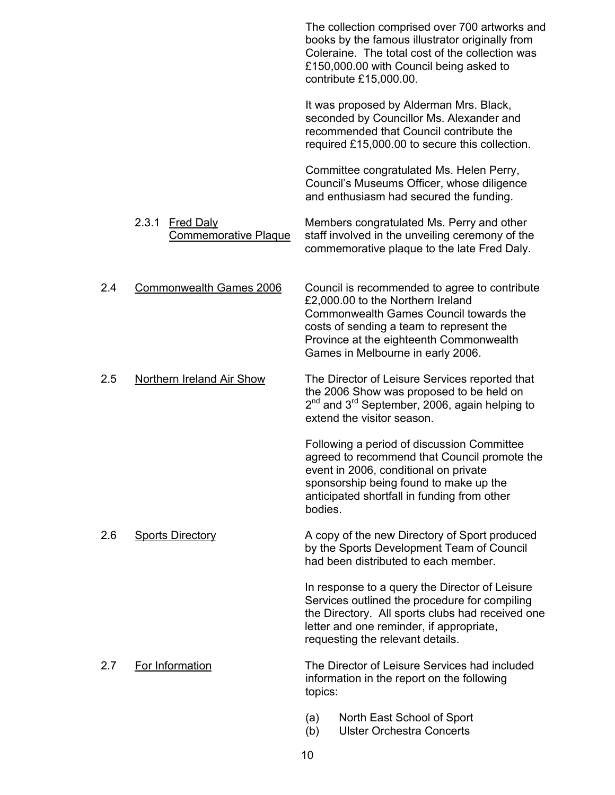|     |                                                          |            | The collection comprised over 700 artworks and<br>books by the famous illustrator originally from<br>Coleraine. The total cost of the collection was<br>£150,000.00 with Council being asked to<br>contribute £15,000.00.                                |
|-----|----------------------------------------------------------|------------|----------------------------------------------------------------------------------------------------------------------------------------------------------------------------------------------------------------------------------------------------------|
|     |                                                          |            | It was proposed by Alderman Mrs. Black,<br>seconded by Councillor Ms. Alexander and<br>recommended that Council contribute the<br>required £15,000.00 to secure this collection.                                                                         |
|     |                                                          |            | Committee congratulated Ms. Helen Perry,<br>Council's Museums Officer, whose diligence<br>and enthusiasm had secured the funding.                                                                                                                        |
|     | 2.3.1<br><b>Fred Daly</b><br><b>Commemorative Plaque</b> |            | Members congratulated Ms. Perry and other<br>staff involved in the unveiling ceremony of the<br>commemorative plaque to the late Fred Daly.                                                                                                              |
| 2.4 | Commonwealth Games 2006                                  |            | Council is recommended to agree to contribute<br>£2,000.00 to the Northern Ireland<br>Commonwealth Games Council towards the<br>costs of sending a team to represent the<br>Province at the eighteenth Commonwealth<br>Games in Melbourne in early 2006. |
| 2.5 | <b>Northern Ireland Air Show</b>                         |            | The Director of Leisure Services reported that<br>the 2006 Show was proposed to be held on<br>2 <sup>nd</sup> and 3 <sup>rd</sup> September, 2006, again helping to<br>extend the visitor season.                                                        |
|     |                                                          | bodies.    | Following a period of discussion Committee<br>agreed to recommend that Council promote the<br>event in 2006, conditional on private<br>sponsorship being found to make up the<br>anticipated shortfall in funding from other                             |
| 2.6 | <b>Sports Directory</b>                                  |            | A copy of the new Directory of Sport produced<br>by the Sports Development Team of Council<br>had been distributed to each member.                                                                                                                       |
|     |                                                          |            | In response to a query the Director of Leisure<br>Services outlined the procedure for compiling<br>the Directory. All sports clubs had received one<br>letter and one reminder, if appropriate,<br>requesting the relevant details.                      |
| 2.7 | For Information                                          | topics:    | The Director of Leisure Services had included<br>information in the report on the following                                                                                                                                                              |
|     |                                                          | (a)<br>(b) | North East School of Sport<br><b>Ulster Orchestra Concerts</b>                                                                                                                                                                                           |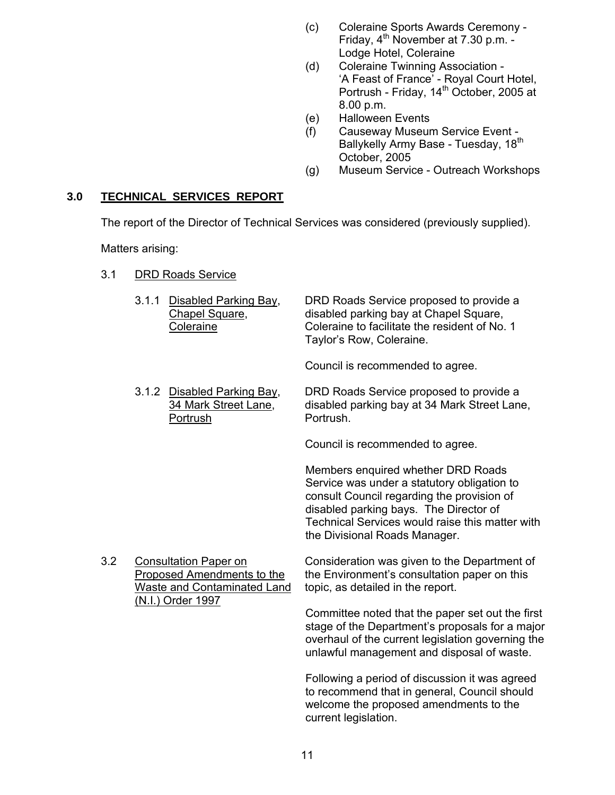- (c) Coleraine Sports Awards Ceremony Friday,  $4<sup>th</sup>$  November at 7.30 p.m. -Lodge Hotel, Coleraine
- (d) Coleraine Twinning Association 'A Feast of France' - Royal Court Hotel, Portrush - Friday, 14<sup>th</sup> October, 2005 at 8.00 p.m.
- (e) Halloween Events
- (f) Causeway Museum Service Event Ballykelly Army Base - Tuesday, 18<sup>th</sup> October, 2005
- (g) Museum Service Outreach Workshops

# **3.0 TECHNICAL SERVICES REPORT**

The report of the Director of Technical Services was considered (previously supplied).

Matters arising:

| <b>DRD Roads Service</b><br>3.1 |
|---------------------------------|
|---------------------------------|

|     | 3.1.1<br>Disabled Parking Bay,<br>Chapel Square,<br>Coleraine                                                  | DRD Roads Service proposed to provide a<br>disabled parking bay at Chapel Square,<br>Coleraine to facilitate the resident of No. 1<br>Taylor's Row, Coleraine.                                                                                                |
|-----|----------------------------------------------------------------------------------------------------------------|---------------------------------------------------------------------------------------------------------------------------------------------------------------------------------------------------------------------------------------------------------------|
|     |                                                                                                                | Council is recommended to agree.                                                                                                                                                                                                                              |
|     | 3.1.2 Disabled Parking Bay,<br>34 Mark Street Lane,<br>Portrush                                                | DRD Roads Service proposed to provide a<br>disabled parking bay at 34 Mark Street Lane,<br>Portrush.                                                                                                                                                          |
|     |                                                                                                                | Council is recommended to agree.                                                                                                                                                                                                                              |
|     |                                                                                                                | Members enquired whether DRD Roads<br>Service was under a statutory obligation to<br>consult Council regarding the provision of<br>disabled parking bays. The Director of<br>Technical Services would raise this matter with<br>the Divisional Roads Manager. |
| 3.2 | <b>Consultation Paper on</b><br>Proposed Amendments to the<br>Waste and Contaminated Land<br>(N.I.) Order 1997 | Consideration was given to the Department of<br>the Environment's consultation paper on this<br>topic, as detailed in the report.                                                                                                                             |
|     |                                                                                                                | Committee noted that the paper set out the first<br>stage of the Department's proposals for a major<br>overhaul of the current legislation governing the<br>unlawful management and disposal of waste.                                                        |
|     |                                                                                                                | Following a period of discussion it was agreed<br>to recommend that in general, Council should<br>welcome the proposed amendments to the<br>current legislation.                                                                                              |
|     |                                                                                                                |                                                                                                                                                                                                                                                               |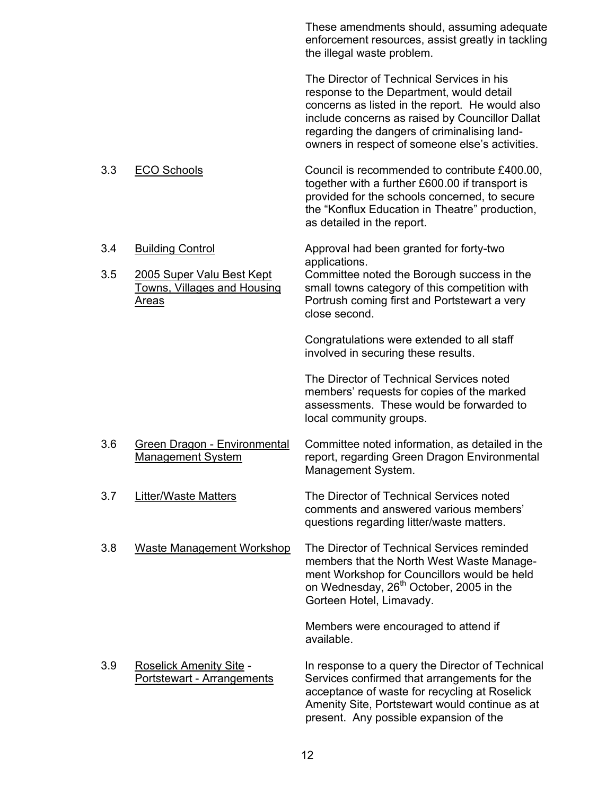These amendments should, assuming adequate enforcement resources, assist greatly in tackling the illegal waste problem.

The Director of Technical Services in his response to the Department, would detail concerns as listed in the report. He would also include concerns as raised by Councillor Dallat regarding the dangers of criminalising landowners in respect of someone else's activities.

- 3.3 ECO Schools Council is recommended to contribute £400.00, together with a further £600.00 if transport is provided for the schools concerned, to secure the "Konflux Education in Theatre" production, as detailed in the report.
- 3.4 Building Control Approval had been granted for forty-two applications.

 3.5 2005 Super Valu Best Kept Committee noted the Borough success in the Towns, Villages and Housing small towns category of this competition with Areas **Portrush coming first and Portstewart a very** Portrush coming first and Portstewart a very close second.

> Congratulations were extended to all staff involved in securing these results.

The Director of Technical Services noted members' requests for copies of the marked assessments. These would be forwarded to local community groups.

- 3.6 Green Dragon Environmental Committee noted information, as detailed in the Management System report, regarding Green Dragon Environmental Management System.
- 3.7 Litter/Waste Matters The Director of Technical Services noted comments and answered various members' questions regarding litter/waste matters.
- 3.8 Waste Management Workshop The Director of Technical Services reminded members that the North West Waste Management Workshop for Councillors would be held on Wednesday, 26<sup>th</sup> October, 2005 in the Gorteen Hotel, Limavady.

Members were encouraged to attend if available.

3.9 Roselick Amenity Site - In response to a query the Director of Technical Portstewart - Arrangements Services confirmed that arrangements for the acceptance of waste for recycling at Roselick Amenity Site, Portstewart would continue as at present. Any possible expansion of the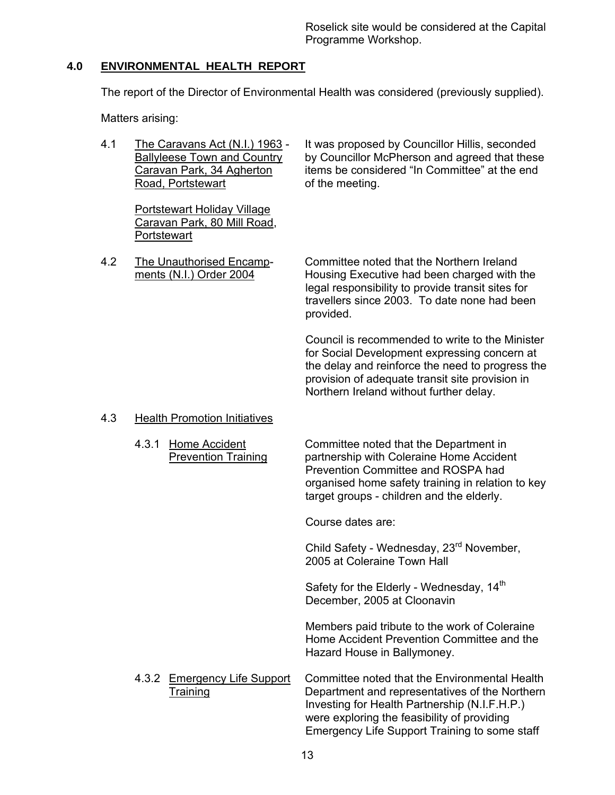# **4.0 ENVIRONMENTAL HEALTH REPORT**

The report of the Director of Environmental Health was considered (previously supplied).

Matters arising:

Road, Portstewart **Example 20** of the meeting.

Portstewart Holiday Village Caravan Park, 80 Mill Road, **Portstewart** 

 4.1 The Caravans Act (N.I.) 1963 - It was proposed by Councillor Hillis, seconded Ballyleese Town and Country by Councillor McPherson and agreed that these Caravan Park, 34 Agherton items be considered "In Committee" at the end

 4.2 The Unauthorised Encamp- Committee noted that the Northern Ireland ments (N.I.) Order 2004 Housing Executive had been charged with the legal responsibility to provide transit sites for travellers since 2003. To date none had been provided.

> Council is recommended to write to the Minister for Social Development expressing concern at the delay and reinforce the need to progress the provision of adequate transit site provision in Northern Ireland without further delay.

# 4.3 Health Promotion Initiatives

 4.3.1 Home Accident Committee noted that the Department in Prevention Training partnership with Coleraine Home Accident Prevention Committee and ROSPA had organised home safety training in relation to key target groups - children and the elderly.

Course dates are:

Child Safety - Wednesday, 23<sup>rd</sup> November, 2005 at Coleraine Town Hall

Safety for the Elderly - Wednesday, 14<sup>th</sup> December, 2005 at Cloonavin

Members paid tribute to the work of Coleraine Home Accident Prevention Committee and the Hazard House in Ballymoney.

4.3.2 Emergency Life Support Committee noted that the Environmental Health Training Department and representatives of the Northern Investing for Health Partnership (N.I.F.H.P.) were exploring the feasibility of providing Emergency Life Support Training to some staff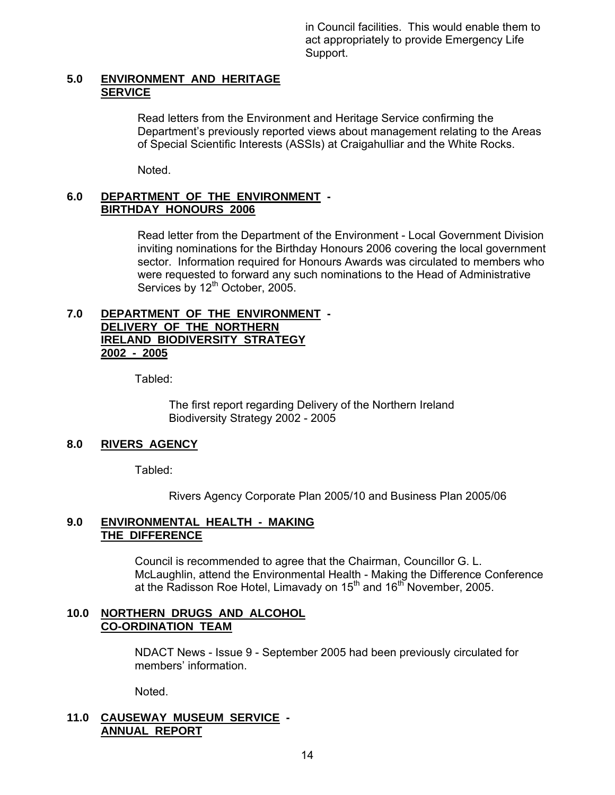in Council facilities. This would enable them to act appropriately to provide Emergency Life Support.

#### **5.0 ENVIRONMENT AND HERITAGE SERVICE**

Read letters from the Environment and Heritage Service confirming the Department's previously reported views about management relating to the Areas of Special Scientific Interests (ASSIs) at Craigahulliar and the White Rocks.

Noted.

#### **6.0 DEPARTMENT OF THE ENVIRONMENT - BIRTHDAY HONOURS 2006**

Read letter from the Department of the Environment - Local Government Division inviting nominations for the Birthday Honours 2006 covering the local government sector. Information required for Honours Awards was circulated to members who were requested to forward any such nominations to the Head of Administrative Services by 12<sup>th</sup> October, 2005.

#### **7.0 DEPARTMENT OF THE ENVIRONMENT - DELIVERY OF THE NORTHERN IRELAND BIODIVERSITY STRATEGY 2002 - 2005**

Tabled:

 The first report regarding Delivery of the Northern Ireland Biodiversity Strategy 2002 - 2005

# **8.0 RIVERS AGENCY**

Tabled:

Rivers Agency Corporate Plan 2005/10 and Business Plan 2005/06

# **9.0 ENVIRONMENTAL HEALTH - MAKING THE DIFFERENCE**

 Council is recommended to agree that the Chairman, Councillor G. L. McLaughlin, attend the Environmental Health - Making the Difference Conference at the Radisson Roe Hotel, Limavady on  $15<sup>th</sup>$  and  $16<sup>th</sup>$  November, 2005.

#### **10.0 NORTHERN DRUGS AND ALCOHOL CO-ORDINATION TEAM**

 NDACT News - Issue 9 - September 2005 had been previously circulated for members' information.

Noted.

# **11.0 CAUSEWAY MUSEUM SERVICE - ANNUAL REPORT**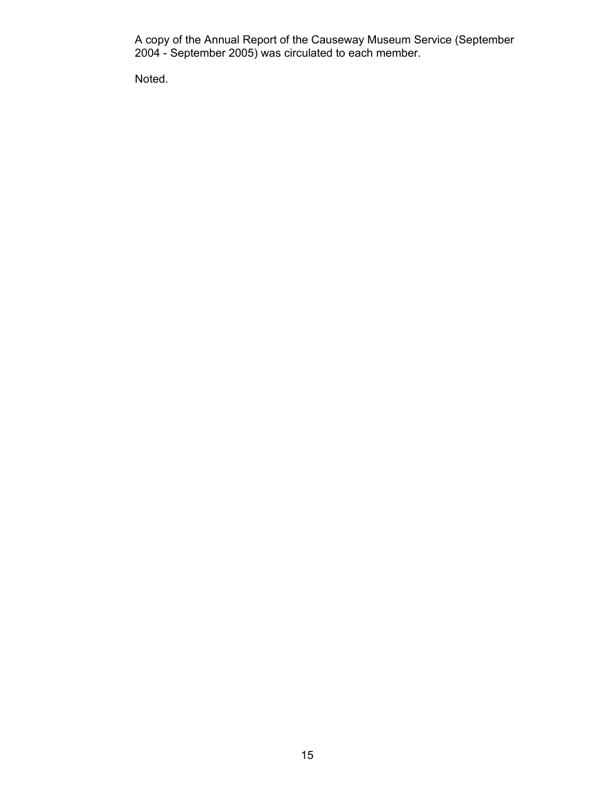A copy of the Annual Report of the Causeway Museum Service (September 2004 - September 2005) was circulated to each member.

Noted.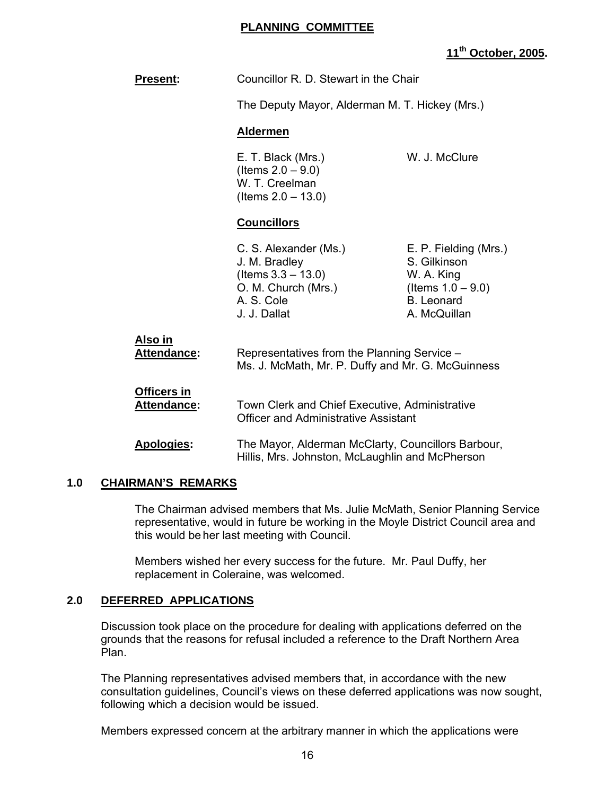# **PLANNING COMMITTEE**

# **11th October, 2005.**

| Councillor R. D. Stewart in the Chair<br>The Deputy Mayor, Alderman M. T. Hickey (Mrs.)                                                                                                                |                                                                                                                  |
|--------------------------------------------------------------------------------------------------------------------------------------------------------------------------------------------------------|------------------------------------------------------------------------------------------------------------------|
|                                                                                                                                                                                                        |                                                                                                                  |
| E. T. Black (Mrs.)<br>(Items $2.0 - 9.0$ )<br>W. T. Creelman<br>(Items $2.0 - 13.0$ )                                                                                                                  | W. J. McClure                                                                                                    |
| <b>Councillors</b>                                                                                                                                                                                     |                                                                                                                  |
| C. S. Alexander (Ms.)<br>J. M. Bradley<br>$($ ltems $3.3 - 13.0)$<br>O. M. Church (Mrs.)<br>A. S. Cole<br>J. J. Dallat                                                                                 | E. P. Fielding (Mrs.)<br>S. Gilkinson<br>W. A. King<br>(Items $1.0 - 9.0$ )<br><b>B.</b> Leonard<br>A. McQuillan |
| Representatives from the Planning Service -<br>Ms. J. McMath, Mr. P. Duffy and Mr. G. McGuinness                                                                                                       |                                                                                                                  |
| Town Clerk and Chief Executive, Administrative<br><b>Officer and Administrative Assistant</b><br>The Mayor, Alderman McClarty, Councillors Barbour,<br>Hillis, Mrs. Johnston, McLaughlin and McPherson |                                                                                                                  |
|                                                                                                                                                                                                        |                                                                                                                  |

# **1.0 CHAIRMAN'S REMARKS**

 The Chairman advised members that Ms. Julie McMath, Senior Planning Service representative, would in future be working in the Moyle District Council area and this would be her last meeting with Council.

 Members wished her every success for the future. Mr. Paul Duffy, her replacement in Coleraine, was welcomed.

# **2.0 DEFERRED APPLICATIONS**

 Discussion took place on the procedure for dealing with applications deferred on the grounds that the reasons for refusal included a reference to the Draft Northern Area Plan.

 The Planning representatives advised members that, in accordance with the new consultation guidelines, Council's views on these deferred applications was now sought, following which a decision would be issued.

Members expressed concern at the arbitrary manner in which the applications were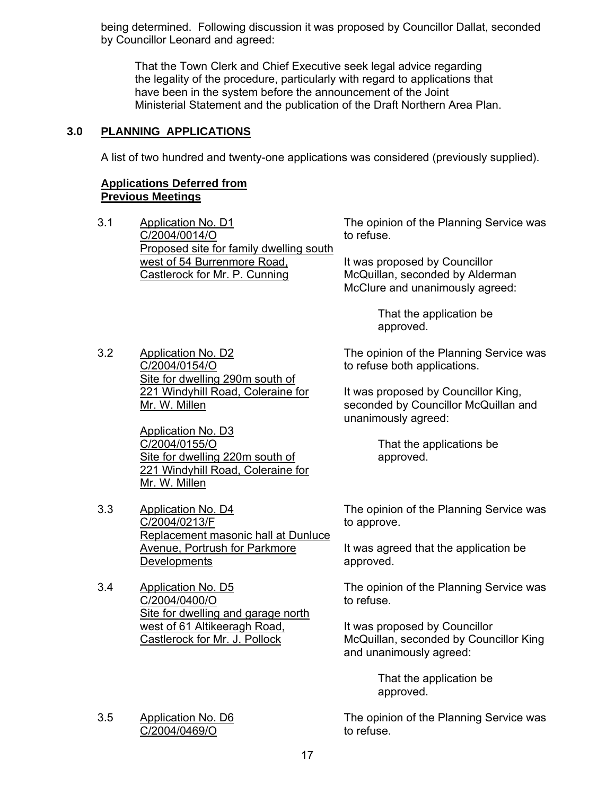being determined. Following discussion it was proposed by Councillor Dallat, seconded by Councillor Leonard and agreed:

 That the Town Clerk and Chief Executive seek legal advice regarding the legality of the procedure, particularly with regard to applications that have been in the system before the announcement of the Joint Ministerial Statement and the publication of the Draft Northern Area Plan.

# **3.0 PLANNING APPLICATIONS**

A list of two hundred and twenty-one applications was considered (previously supplied).

# **Applications Deferred from Previous Meetings**

3.1 Application No. D1 C/2004/0014/O Proposed site for family dwelling south west of 54 Burrenmore Road, Castlerock for Mr. P. Cunning

3.2 Application No. D2 C/2004/0154/O Site for dwelling 290m south of 221 Windyhill Road, Coleraine for Mr. W. Millen

> Application No. D3 C/2004/0155/O Site for dwelling 220m south of 221 Windyhill Road, Coleraine for Mr. W. Millen

- 3.3 Application No. D4 C/2004/0213/F Replacement masonic hall at Dunluce Avenue, Portrush for Parkmore **Developments**
- 3.4 Application No. D5 C/2004/0400/O Site for dwelling and garage north west of 61 Altikeeragh Road, Castlerock for Mr. J. Pollock

#### 3.5 Application No. D6 C/2004/0469/O

The opinion of the Planning Service was to refuse.

It was proposed by Councillor McQuillan, seconded by Alderman McClure and unanimously agreed:

> That the application be approved.

The opinion of the Planning Service was to refuse both applications.

It was proposed by Councillor King, seconded by Councillor McQuillan and unanimously agreed:

> That the applications be approved.

The opinion of the Planning Service was to approve.

It was agreed that the application be approved.

The opinion of the Planning Service was to refuse.

It was proposed by Councillor McQuillan, seconded by Councillor King and unanimously agreed:

> That the application be approved.

The opinion of the Planning Service was to refuse.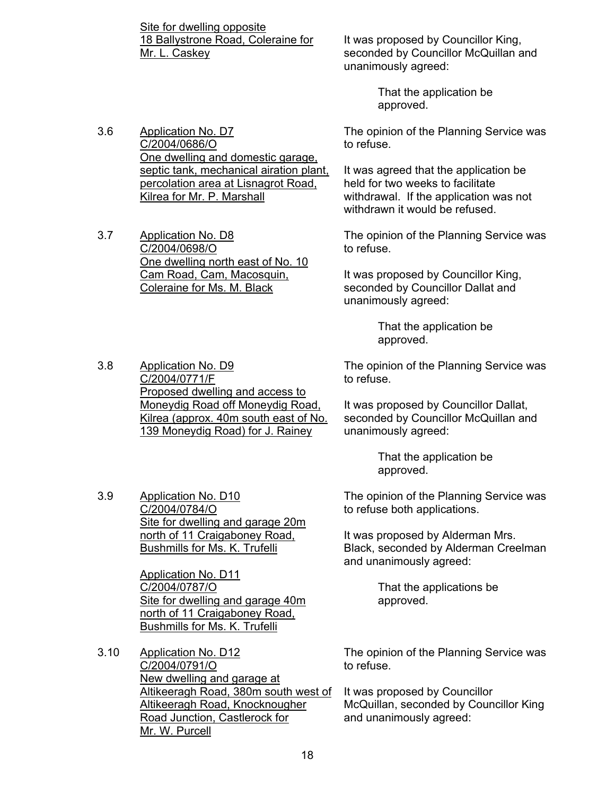Site for dwelling opposite 18 Ballystrone Road, Coleraine for Mr. L. Caskey

One dwelling and domestic garage, septic tank, mechanical airation plant, percolation area at Lisnagrot Road,

It was proposed by Councillor King, seconded by Councillor McQuillan and unanimously agreed:

> That the application be approved.

The opinion of the Planning Service was to refuse.

It was agreed that the application be held for two weeks to facilitate withdrawal. If the application was not withdrawn it would be refused.

The opinion of the Planning Service was to refuse.

It was proposed by Councillor King, seconded by Councillor Dallat and unanimously agreed:

> That the application be approved.

The opinion of the Planning Service was to refuse.

It was proposed by Councillor Dallat, seconded by Councillor McQuillan and unanimously agreed:

> That the application be approved.

The opinion of the Planning Service was to refuse both applications.

It was proposed by Alderman Mrs. Black, seconded by Alderman Creelman and unanimously agreed:

> That the applications be approved.

The opinion of the Planning Service was to refuse.

It was proposed by Councillor McQuillan, seconded by Councillor King and unanimously agreed:

Kilrea for Mr. P. Marshall 3.7 Application No. D8 C/2004/0698/O One dwelling north east of No. 10 Cam Road, Cam, Macosquin,

3.6 Application No. D7 C/2004/0686/O

Coleraine for Ms. M. Black

3.8 Application No. D9 C/2004/0771/F Proposed dwelling and access to Moneydig Road off Moneydig Road, Kilrea (approx. 40m south east of No. 139 Moneydig Road) for J. Rainey

3.9 Application No. D10 C/2004/0784/O Site for dwelling and garage 20m north of 11 Craigaboney Road, Bushmills for Ms. K. Trufelli

> Application No. D11 C/2004/0787/O Site for dwelling and garage 40m north of 11 Craigaboney Road, Bushmills for Ms. K. Trufelli

3.10 Application No. D12 C/2004/0791/O New dwelling and garage at Altikeeragh Road, 380m south west of Altikeeragh Road, Knocknougher Road Junction, Castlerock for Mr. W. Purcell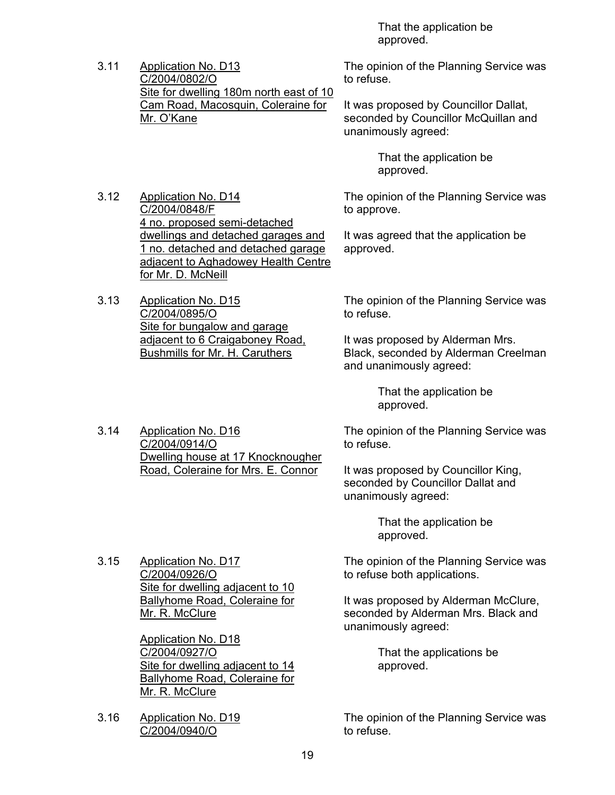That the application be approved.

3.11 Application No. D13 C/2004/0802/O Site for dwelling 180m north east of 10 Cam Road, Macosquin, Coleraine for Mr. O'Kane

3.12 Application No. D14 C/2004/0848/F 4 no. proposed semi-detached dwellings and detached garages and 1 no. detached and detached garage adjacent to Aghadowey Health Centre for Mr. D. McNeill

3.13 Application No. D15 C/2004/0895/O Site for bungalow and garage adjacent to 6 Craigaboney Road, Bushmills for Mr. H. Caruthers

> Dwelling house at 17 Knocknougher Road, Coleraine for Mrs. E. Connor

3.14 Application No. D16 C/2004/0914/O

The opinion of the Planning Service was to refuse.

It was proposed by Councillor Dallat, seconded by Councillor McQuillan and unanimously agreed:

> That the application be approved.

The opinion of the Planning Service was to approve.

It was agreed that the application be approved.

The opinion of the Planning Service was to refuse.

It was proposed by Alderman Mrs. Black, seconded by Alderman Creelman and unanimously agreed:

> That the application be approved.

The opinion of the Planning Service was to refuse.

It was proposed by Councillor King, seconded by Councillor Dallat and unanimously agreed:

> That the application be approved.

3.15 Application No. D17 C/2004/0926/O Site for dwelling adjacent to 10 Ballyhome Road, Coleraine for Mr. R. McClure

> Application No. D18 C/2004/0927/O Site for dwelling adjacent to 14 Ballyhome Road, Coleraine for Mr. R. McClure

3.16 Application No. D19 C/2004/0940/O

The opinion of the Planning Service was to refuse both applications.

It was proposed by Alderman McClure, seconded by Alderman Mrs. Black and unanimously agreed:

> That the applications be approved.

The opinion of the Planning Service was to refuse.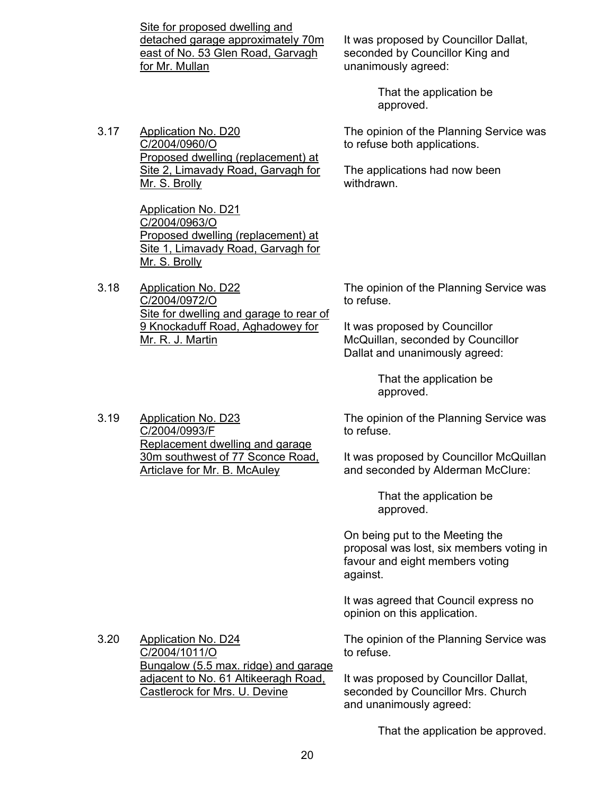Site for proposed dwelling and detached garage approximately 70m east of No. 53 Glen Road, Garvagh for Mr. Mullan

It was proposed by Councillor Dallat, seconded by Councillor King and unanimously agreed:

> That the application be approved.

The opinion of the Planning Service was to refuse both applications.

The applications had now been withdrawn.

The opinion of the Planning Service was to refuse.

It was proposed by Councillor McQuillan, seconded by Councillor Dallat and unanimously agreed:

> That the application be approved.

The opinion of the Planning Service was to refuse.

It was proposed by Councillor McQuillan and seconded by Alderman McClure:

> That the application be approved.

On being put to the Meeting the proposal was lost, six members voting in favour and eight members voting against.

It was agreed that Council express no opinion on this application.

The opinion of the Planning Service was to refuse.

It was proposed by Councillor Dallat, seconded by Councillor Mrs. Church and unanimously agreed:

That the application be approved.

3.17 Application No. D20 C/2004/0960/O Proposed dwelling (replacement) at Site 2, Limavady Road, Garvagh for Mr. S. Brolly

> Application No. D21 C/2004/0963/O Proposed dwelling (replacement) at Site 1, Limavady Road, Garvagh for Mr. S. Brolly

3.18 Application No. D22 C/2004/0972/O Site for dwelling and garage to rear of 9 Knockaduff Road, Aghadowey for Mr. R. J. Martin

3.20 Application No. D24 C/2004/1011/O Bungalow (5.5 max. ridge) and garage adjacent to No. 61 Altikeeragh Road, Castlerock for Mrs. U. Devine

#### 3.19 Application No. D23 C/2004/0993/F Replacement dwelling and garage 30m southwest of 77 Sconce Road, Articlave for Mr. B. McAuley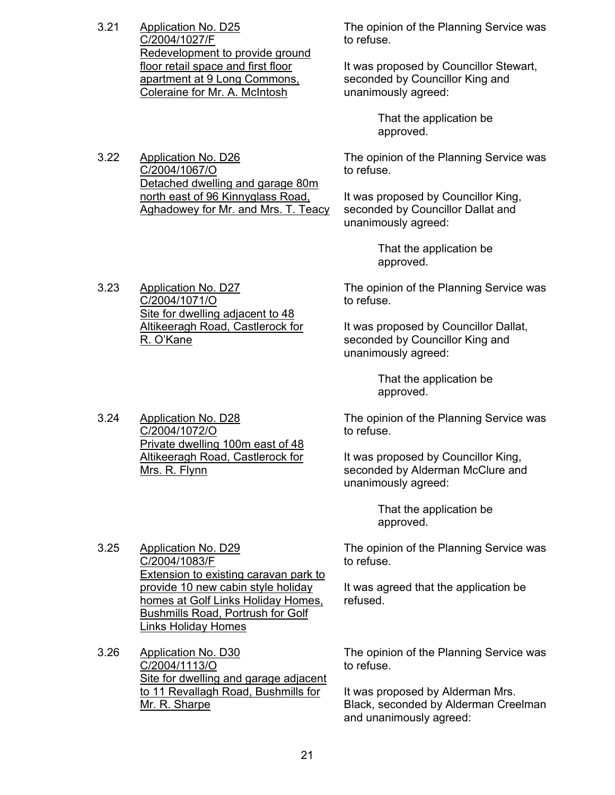3.21 Application No. D25 C/2004/1027/F Redevelopment to provide ground floor retail space and first floor apartment at 9 Long Commons, Coleraine for Mr. A. McIntosh

3.22 Application No. D26 C/2004/1067/O

3.24 Application No. D28 C/2004/1072/O

Mrs. R. Flynn

3.25 Application No. D29 C/2004/1083/F

Mr. R. Sharpe

The opinion of the Planning Service was to refuse.

It was proposed by Councillor Stewart, seconded by Councillor King and unanimously agreed:

> That the application be approved.

The opinion of the Planning Service was to refuse.

It was proposed by Councillor King, seconded by Councillor Dallat and unanimously agreed:

> That the application be approved.

3.23 Application No. D27 C/2004/1071/O Site for dwelling adjacent to 48 Altikeeragh Road, Castlerock for R. O'Kane

> Private dwelling 100m east of 48 Altikeeragh Road, Castlerock for

Detached dwelling and garage 80m north east of 96 Kinnyglass Road, Aghadowey for Mr. and Mrs. T. Teacy

> The opinion of the Planning Service was to refuse.

It was proposed by Councillor Dallat, seconded by Councillor King and unanimously agreed:

> That the application be approved.

The opinion of the Planning Service was to refuse.

It was proposed by Councillor King, seconded by Alderman McClure and unanimously agreed:

> That the application be approved.

The opinion of the Planning Service was to refuse.

It was agreed that the application be refused.

Bushmills Road, Portrush for Golf Links Holiday Homes 3.26 Application No. D30 C/2004/1113/O Site for dwelling and garage adjacent to 11 Revallagh Road, Bushmills for

The opinion of the Planning Service was to refuse.

It was proposed by Alderman Mrs. Black, seconded by Alderman Creelman and unanimously agreed:

Extension to existing caravan park to provide 10 new cabin style holiday homes at Golf Links Holiday Homes,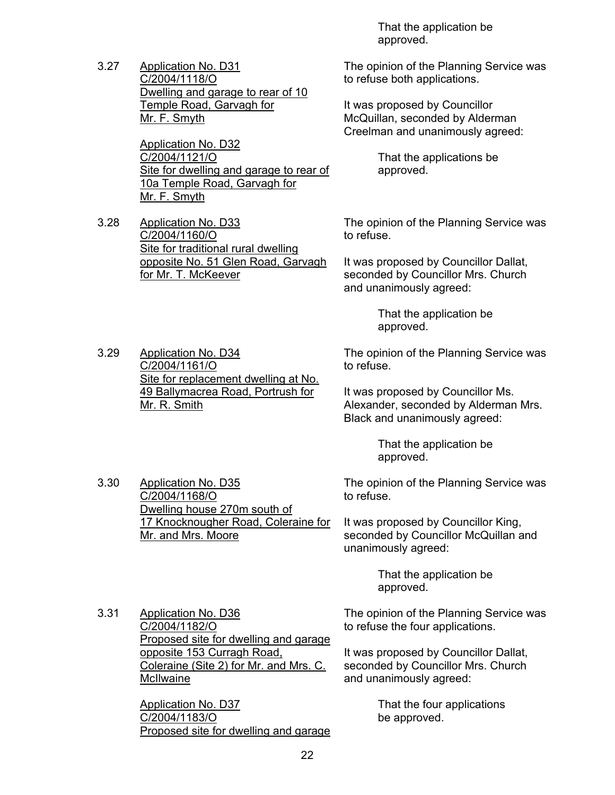3.27 Application No. D31 C/2004/1118/O Dwelling and garage to rear of 10 Temple Road, Garvagh for Mr. F. Smyth

> Application No. D32 C/2004/1121/O Site for dwelling and garage to rear of 10a Temple Road, Garvagh for Mr. F. Smyth

3.28 Application No. D33 C/2004/1160/O Site for traditional rural dwelling opposite No. 51 Glen Road, Garvagh for Mr. T. McKeever

 That the application be approved.

The opinion of the Planning Service was to refuse both applications.

It was proposed by Councillor McQuillan, seconded by Alderman Creelman and unanimously agreed:

> That the applications be approved.

The opinion of the Planning Service was to refuse.

It was proposed by Councillor Dallat, seconded by Councillor Mrs. Church and unanimously agreed:

> That the application be approved.

3.29 Application No. D34 C/2004/1161/O Site for replacement dwelling at No. 49 Ballymacrea Road, Portrush for Mr. R. Smith

3.30 Application No. D35 C/2004/1168/O

Mr. and Mrs. Moore

The opinion of the Planning Service was to refuse.

It was proposed by Councillor Ms. Alexander, seconded by Alderman Mrs. Black and unanimously agreed:

> That the application be approved.

The opinion of the Planning Service was to refuse.

It was proposed by Councillor King, seconded by Councillor McQuillan and unanimously agreed:

> That the application be approved.

3.31 Application No. D36 C/2004/1182/O Proposed site for dwelling and garage opposite 153 Curragh Road, Coleraine (Site 2) for Mr. and Mrs. C. McIlwaine

Dwelling house 270m south of

17 Knocknougher Road, Coleraine for

Application No. D37 C/2004/1183/O Proposed site for dwelling and garage The opinion of the Planning Service was to refuse the four applications.

It was proposed by Councillor Dallat, seconded by Councillor Mrs. Church and unanimously agreed:

> That the four applications be approved.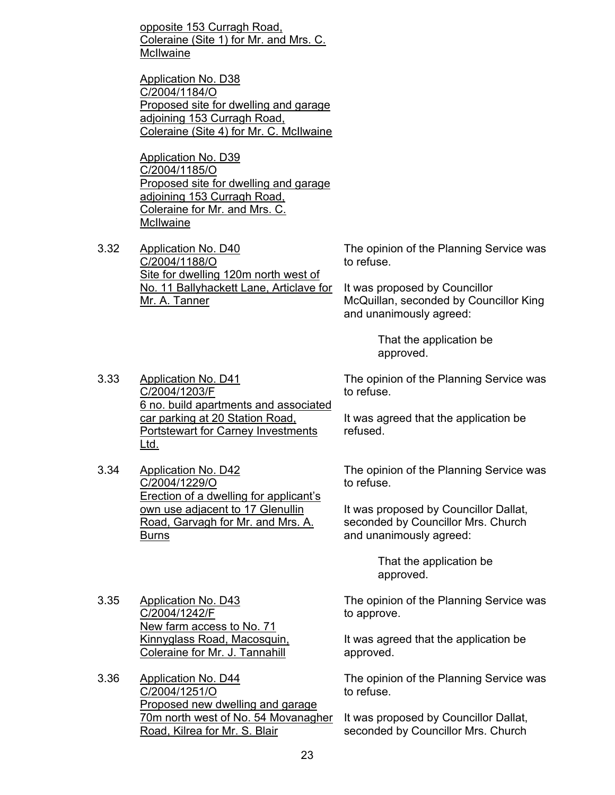opposite 153 Curragh Road, Coleraine (Site 1) for Mr. and Mrs. C. **McIlwaine** 

Application No. D38 C/2004/1184/O Proposed site for dwelling and garage adjoining 153 Curragh Road, Coleraine (Site 4) for Mr. C. McIlwaine

Application No. D39 C/2004/1185/O Proposed site for dwelling and garage adjoining 153 Curragh Road, Coleraine for Mr. and Mrs. C. **McIlwaine** 

3.32 Application No. D40 C/2004/1188/O Site for dwelling 120m north west of No. 11 Ballyhackett Lane, Articlave for Mr. A. Tanner

The opinion of the Planning Service was to refuse.

It was proposed by Councillor McQuillan, seconded by Councillor King and unanimously agreed:

The opinion of the Planning Service was

 That the application be approved.

It was agreed that the application be

to refuse.

refused.

3.33 Application No. D41 C/2004/1203/F 6 no. build apartments and associated car parking at 20 Station Road, Portstewart for Carney Investments Ltd.

> Erection of a dwelling for applicant's own use adjacent to 17 Glenullin Road, Garvagh for Mr. and Mrs. A.

The opinion of the Planning Service was to refuse.

It was proposed by Councillor Dallat, seconded by Councillor Mrs. Church and unanimously agreed:

> That the application be approved.

The opinion of the Planning Service was to approve.

It was agreed that the application be approved.

The opinion of the Planning Service was to refuse.

It was proposed by Councillor Dallat, seconded by Councillor Mrs. Church

3.35 Application No. D43 C/2004/1242/F New farm access to No. 71 Kinnyglass Road, Macosquin, Coleraine for Mr. J. Tannahill

3.34 Application No. D42 C/2004/1229/O

Burns

3.36 Application No. D44 C/2004/1251/O Proposed new dwelling and garage 70m north west of No. 54 Movanagher Road, Kilrea for Mr. S. Blair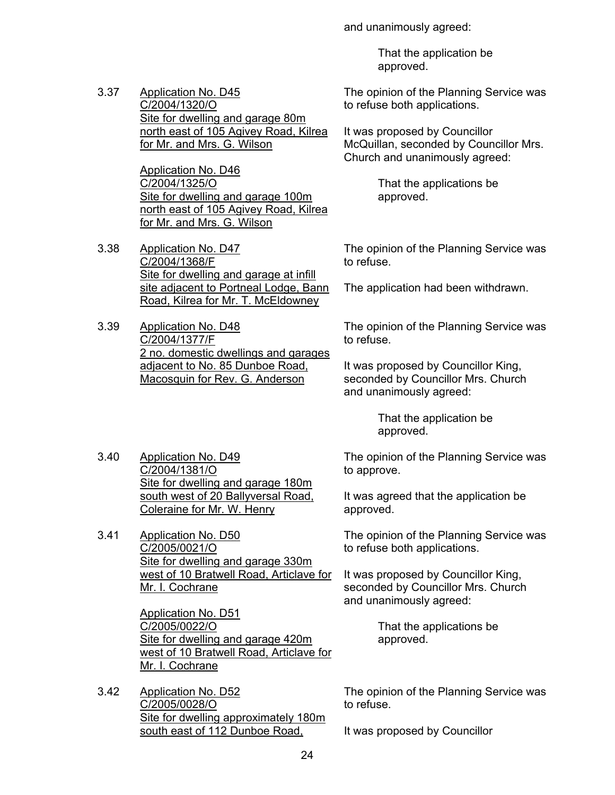and unanimously agreed:

 That the application be approved.

3.37 Application No. D45 C/2004/1320/O Site for dwelling and garage 80m north east of 105 Agivey Road, Kilrea for Mr. and Mrs. G. Wilson

> Application No. D46 C/2004/1325/O Site for dwelling and garage 100m north east of 105 Agivey Road, Kilrea for Mr. and Mrs. G. Wilson

3.38 Application No. D47 C/2004/1368/F Site for dwelling and garage at infill site adjacent to Portneal Lodge, Bann Road, Kilrea for Mr. T. McEldowney

3.39 Application No. D48 C/2004/1377/F 2 no. domestic dwellings and garages adjacent to No. 85 Dunboe Road, Macosquin for Rev. G. Anderson

3.40 Application No. D49 C/2004/1381/O Site for dwelling and garage 180m south west of 20 Ballyversal Road, Coleraine for Mr. W. Henry

3.41 Application No. D50 C/2005/0021/O Site for dwelling and garage 330m west of 10 Bratwell Road, Articlave for Mr. I. Cochrane

> Application No. D51 C/2005/0022/O Site for dwelling and garage 420m west of 10 Bratwell Road, Articlave for Mr. I. Cochrane

3.42 Application No. D52 C/2005/0028/O Site for dwelling approximately 180m south east of 112 Dunboe Road,

The opinion of the Planning Service was to refuse both applications.

It was proposed by Councillor McQuillan, seconded by Councillor Mrs. Church and unanimously agreed:

> That the applications be approved.

The opinion of the Planning Service was to refuse.

The application had been withdrawn.

The opinion of the Planning Service was to refuse.

It was proposed by Councillor King, seconded by Councillor Mrs. Church and unanimously agreed:

> That the application be approved.

The opinion of the Planning Service was to approve.

It was agreed that the application be approved.

The opinion of the Planning Service was to refuse both applications.

It was proposed by Councillor King, seconded by Councillor Mrs. Church and unanimously agreed:

> That the applications be approved.

The opinion of the Planning Service was to refuse.

It was proposed by Councillor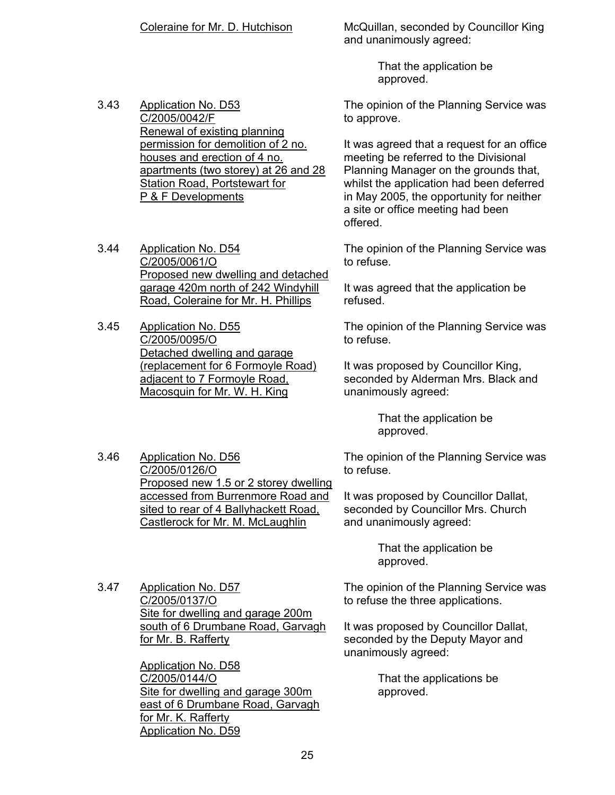Coleraine for Mr. D. Hutchison McQuillan, seconded by Councillor King and unanimously agreed:

> That the application be approved.

3.43 Application No. D53 C/2005/0042/F Renewal of existing planning permission for demolition of 2 no. houses and erection of 4 no. apartments (two storey) at 26 and 28 Station Road, Portstewart for P & F Developments

3.44 Application No. D54 C/2005/0061/O Proposed new dwelling and detached garage 420m north of 242 Windyhill Road, Coleraine for Mr. H. Phillips

3.45 Application No. D55 C/2005/0095/O Detached dwelling and garage (replacement for 6 Formoyle Road) adjacent to 7 Formoyle Road, Macosquin for Mr. W. H. King

3.46 Application No. D56 C/2005/0126/O Proposed new 1.5 or 2 storey dwelling accessed from Burrenmore Road and sited to rear of 4 Ballyhackett Road, Castlerock for Mr. M. McLaughlin

The opinion of the Planning Service was to approve.

It was agreed that a request for an office meeting be referred to the Divisional Planning Manager on the grounds that, whilst the application had been deferred in May 2005, the opportunity for neither a site or office meeting had been offered.

The opinion of the Planning Service was to refuse.

It was agreed that the application be refused.

The opinion of the Planning Service was to refuse.

It was proposed by Councillor King, seconded by Alderman Mrs. Black and unanimously agreed:

> That the application be approved.

The opinion of the Planning Service was to refuse.

It was proposed by Councillor Dallat, seconded by Councillor Mrs. Church and unanimously agreed:

> That the application be approved.

The opinion of the Planning Service was to refuse the three applications.

It was proposed by Councillor Dallat, seconded by the Deputy Mayor and unanimously agreed:

> That the applications be approved.

3.47 Application No. D57 C/2005/0137/O Site for dwelling and garage 200m south of 6 Drumbane Road, Garvagh for Mr. B. Rafferty

> Applicatjon No. D58 C/2005/0144/O Site for dwelling and garage 300m east of 6 Drumbane Road, Garvagh for Mr. K. Rafferty Application No. D59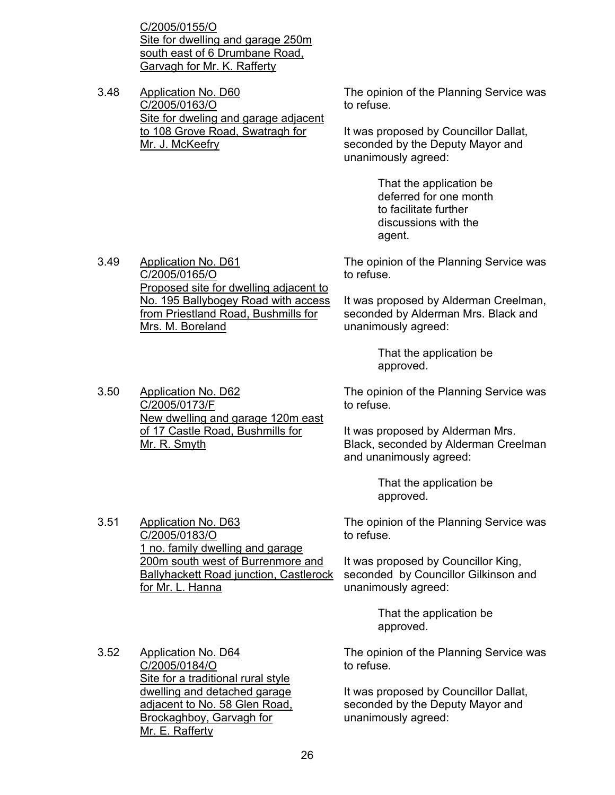C/2005/0155/O Site for dwelling and garage 250m south east of 6 Drumbane Road, Garvagh for Mr. K. Rafferty

3.48 Application No. D60 C/2005/0163/O Site for dweling and garage adjacent to 108 Grove Road, Swatragh for Mr. J. McKeefry

The opinion of the Planning Service was to refuse.

It was proposed by Councillor Dallat, seconded by the Deputy Mayor and unanimously agreed:

> That the application be deferred for one month to facilitate further discussions with the agent.

The opinion of the Planning Service was to refuse.

> It was proposed by Alderman Creelman, seconded by Alderman Mrs. Black and unanimously agreed:

> > That the application be approved.

The opinion of the Planning Service was to refuse.

It was proposed by Alderman Mrs. Black, seconded by Alderman Creelman and unanimously agreed:

> That the application be approved.

The opinion of the Planning Service was to refuse.

It was proposed by Councillor King, seconded by Councillor Gilkinson and unanimously agreed:

> That the application be approved.

The opinion of the Planning Service was to refuse.

It was proposed by Councillor Dallat, seconded by the Deputy Mayor and unanimously agreed:

3.49 Application No. D61 C/2005/0165/O Proposed site for dwelling adjacent to No. 195 Ballybogey Road with access from Priestland Road, Bushmills for Mrs. M. Boreland

3.51 Application No. D63 C/2005/0183/O 1 no. family dwelling and garage

3.50 Application No. D62 C/2005/0173/F

Mr. R. Smyth

3.52 Application No. D64 C/2005/0184/O

Mr. E. Rafferty

200m south west of Burrenmore and Ballyhackett Road junction, Castlerock for Mr. L. Hanna

Site for a traditional rural style dwelling and detached garage adjacent to No. 58 Glen Road, Brockaghboy, Garvagh for

New dwelling and garage 120m east of 17 Castle Road, Bushmills for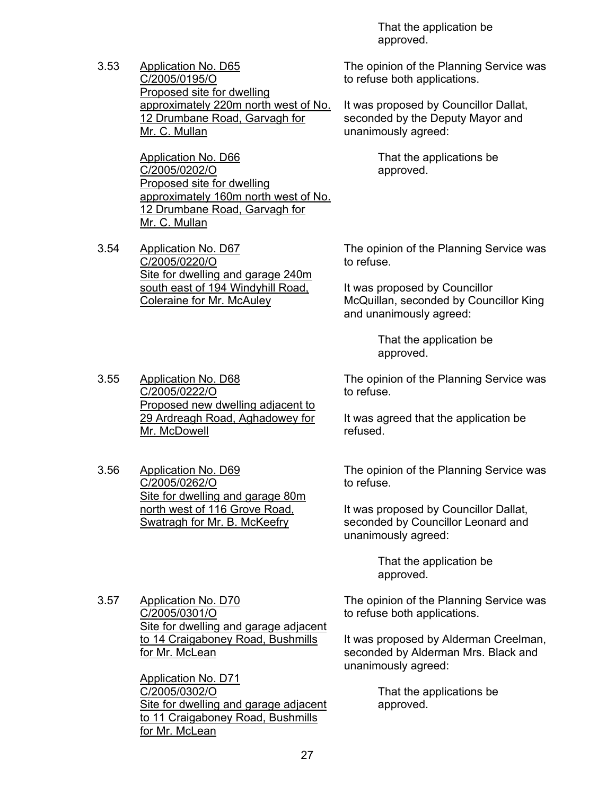3.53 Application No. D65 C/2005/0195/O Proposed site for dwelling approximately 220m north west of No. 12 Drumbane Road, Garvagh for Mr. C. Mullan

> Application No. D66 C/2005/0202/O Proposed site for dwelling approximately 160m north west of No. 12 Drumbane Road, Garvagh for Mr. C. Mullan

3.54 Application No. D67 C/2005/0220/O Site for dwelling and garage 240m south east of 194 Windyhill Road, Coleraine for Mr. McAuley

3.55 Application No. D68 C/2005/0222/O

Mr. McDowell

 That the application be approved.

The opinion of the Planning Service was to refuse both applications.

It was proposed by Councillor Dallat, seconded by the Deputy Mayor and unanimously agreed:

> That the applications be approved.

The opinion of the Planning Service was to refuse.

It was proposed by Councillor McQuillan, seconded by Councillor King and unanimously agreed:

> That the application be approved.

The opinion of the Planning Service was to refuse.

It was agreed that the application be refused.

3.56 Application No. D69 C/2005/0262/O Site for dwelling and garage 80m north west of 116 Grove Road, Swatragh for Mr. B. McKeefry

Proposed new dwelling adjacent to 29 Ardreagh Road, Aghadowey for

> The opinion of the Planning Service was to refuse.

It was proposed by Councillor Dallat, seconded by Councillor Leonard and unanimously agreed:

> That the application be approved.

The opinion of the Planning Service was to refuse both applications.

It was proposed by Alderman Creelman, seconded by Alderman Mrs. Black and unanimously agreed:

> That the applications be approved.

3.57 Application No. D70 C/2005/0301/O Site for dwelling and garage adjacent to 14 Craigaboney Road, Bushmills for Mr. McLean

> Application No. D71 C/2005/0302/O Site for dwelling and garage adjacent to 11 Craigaboney Road, Bushmills for Mr. McLean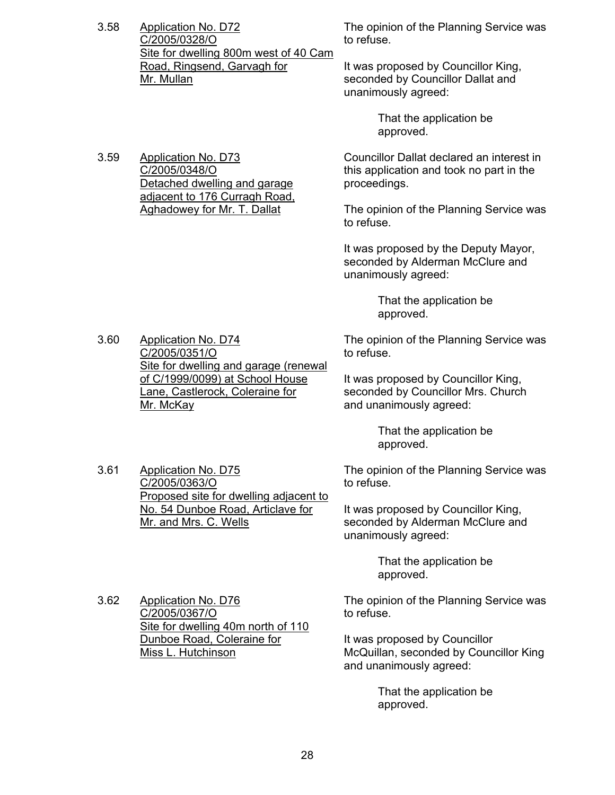3.58 Application No. D72 C/2005/0328/O Site for dwelling 800m west of 40 Cam Road, Ringsend, Garvagh for Mr. Mullan

> Detached dwelling and garage adjacent to 176 Curragh Road, Aghadowey for Mr. T. Dallat

3.59 Application No. D73 C/2005/0348/O

The opinion of the Planning Service was to refuse.

It was proposed by Councillor King, seconded by Councillor Dallat and unanimously agreed:

> That the application be approved.

Councillor Dallat declared an interest in this application and took no part in the proceedings.

The opinion of the Planning Service was to refuse.

It was proposed by the Deputy Mayor, seconded by Alderman McClure and unanimously agreed:

> That the application be approved.

The opinion of the Planning Service was to refuse.

It was proposed by Councillor King, seconded by Councillor Mrs. Church and unanimously agreed:

> That the application be approved.

The opinion of the Planning Service was to refuse.

It was proposed by Councillor King, seconded by Alderman McClure and unanimously agreed:

> That the application be approved.

The opinion of the Planning Service was to refuse.

It was proposed by Councillor McQuillan, seconded by Councillor King and unanimously agreed:

> That the application be approved.

3.60 Application No. D74 C/2005/0351/O Site for dwelling and garage (renewal of C/1999/0099) at School House Lane, Castlerock, Coleraine for Mr. McKay

3.61 Application No. D75 C/2005/0363/O Proposed site for dwelling adjacent to No. 54 Dunboe Road, Articlave for Mr. and Mrs. C. Wells

C/2005/0367/O Site for dwelling 40m north of 110 Dunboe Road, Coleraine for Miss L. Hutchinson

3.62 Application No. D76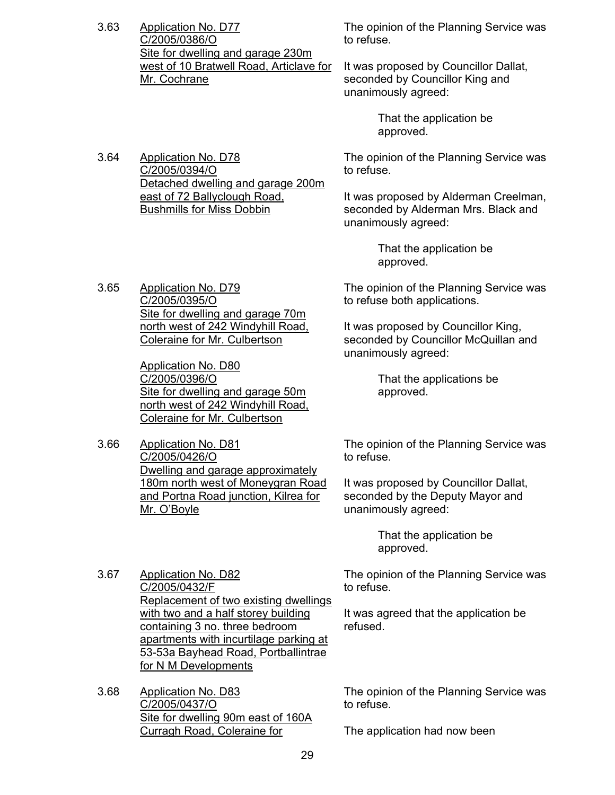3.63 Application No. D77 C/2005/0386/O Site for dwelling and garage 230m west of 10 Bratwell Road, Articlave for Mr. Cochrane

> north west of 242 Windyhill Road, Coleraine for Mr. Culbertson

> Site for dwelling and garage 50m north west of 242 Windyhill Road, Coleraine for Mr. Culbertson

Dwelling and garage approximately 180m north west of Moneygran Road and Portna Road junction, Kilrea for

3.65 Application No. D79 C/2005/0395/O

3.66 Application No. D81 C/2005/0426/O

Mr. O'Boyle

Application No. D80 C/2005/0396/O

The opinion of the Planning Service was to refuse.

It was proposed by Councillor Dallat, seconded by Councillor King and unanimously agreed:

> That the application be approved.

3.64 Application No. D78 C/2005/0394/O Detached dwelling and garage 200m east of 72 Ballyclough Road, Bushmills for Miss Dobbin

The opinion of the Planning Service was to refuse.

It was proposed by Alderman Creelman, seconded by Alderman Mrs. Black and unanimously agreed:

> That the application be approved.

Site for dwelling and garage 70m The opinion of the Planning Service was to refuse both applications.

> It was proposed by Councillor King, seconded by Councillor McQuillan and unanimously agreed:

> > That the applications be approved.

The opinion of the Planning Service was to refuse.

It was proposed by Councillor Dallat, seconded by the Deputy Mayor and unanimously agreed:

> That the application be approved.

The opinion of the Planning Service was to refuse.

It was agreed that the application be refused.

3.67 Application No. D82 C/2005/0432/F Replacement of two existing dwellings with two and a half storey building containing 3 no. three bedroom apartments with incurtilage parking at 53-53a Bayhead Road, Portballintrae for N M Developments

3.68 Application No. D83 C/2005/0437/O Site for dwelling 90m east of 160A Curragh Road, Coleraine for

The opinion of the Planning Service was to refuse.

The application had now been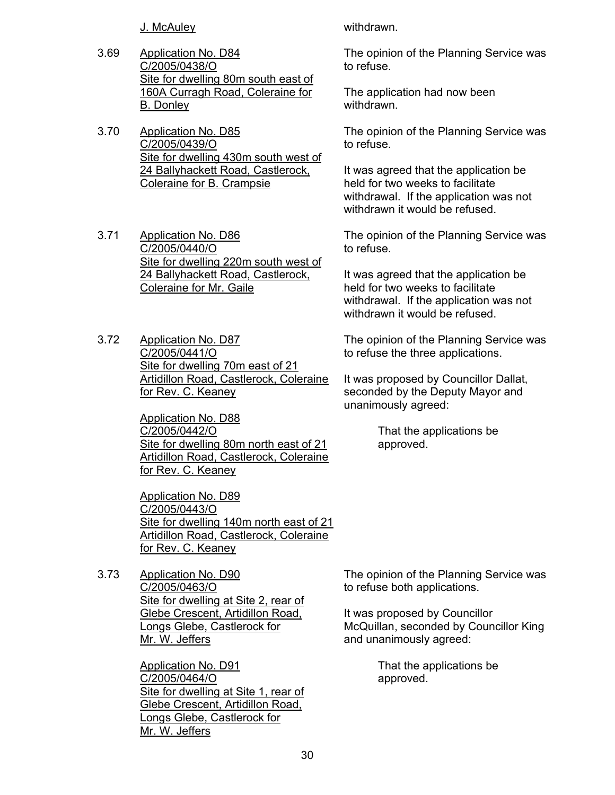J. McAuley withdrawn.

- 3.69 Application No. D84 C/2005/0438/O Site for dwelling 80m south east of 160A Curragh Road, Coleraine for B. Donley
- 3.70 Application No. D85 C/2005/0439/O Site for dwelling 430m south west of 24 Ballyhackett Road, Castlerock, Coleraine for B. Crampsie
- 3.71 Application No. D86 C/2005/0440/O Site for dwelling 220m south west of 24 Ballyhackett Road, Castlerock, Coleraine for Mr. Gaile
- 3.72 Application No. D87 C/2005/0441/O Site for dwelling 70m east of 21 Artidillon Road, Castlerock, Coleraine for Rev. C. Keaney

Application No. D88 C/2005/0442/O Site for dwelling 80m north east of 21 Artidillon Road, Castlerock, Coleraine for Rev. C. Keaney

Application No. D89 C/2005/0443/O Site for dwelling 140m north east of 21 Artidillon Road, Castlerock, Coleraine for Rev. C. Keaney

3.73 Application No. D90 C/2005/0463/O Site for dwelling at Site 2, rear of Glebe Crescent, Artidillon Road, Longs Glebe, Castlerock for Mr. W. Jeffers

> Application No. D91 C/2005/0464/O Site for dwelling at Site 1, rear of Glebe Crescent, Artidillon Road, Longs Glebe, Castlerock for Mr. W. Jeffers

The opinion of the Planning Service was to refuse.

The application had now been withdrawn.

The opinion of the Planning Service was to refuse.

It was agreed that the application be held for two weeks to facilitate withdrawal. If the application was not withdrawn it would be refused.

The opinion of the Planning Service was to refuse.

It was agreed that the application be held for two weeks to facilitate withdrawal. If the application was not withdrawn it would be refused.

The opinion of the Planning Service was to refuse the three applications.

It was proposed by Councillor Dallat, seconded by the Deputy Mayor and unanimously agreed:

> That the applications be approved.

The opinion of the Planning Service was to refuse both applications.

It was proposed by Councillor McQuillan, seconded by Councillor King and unanimously agreed:

> That the applications be approved.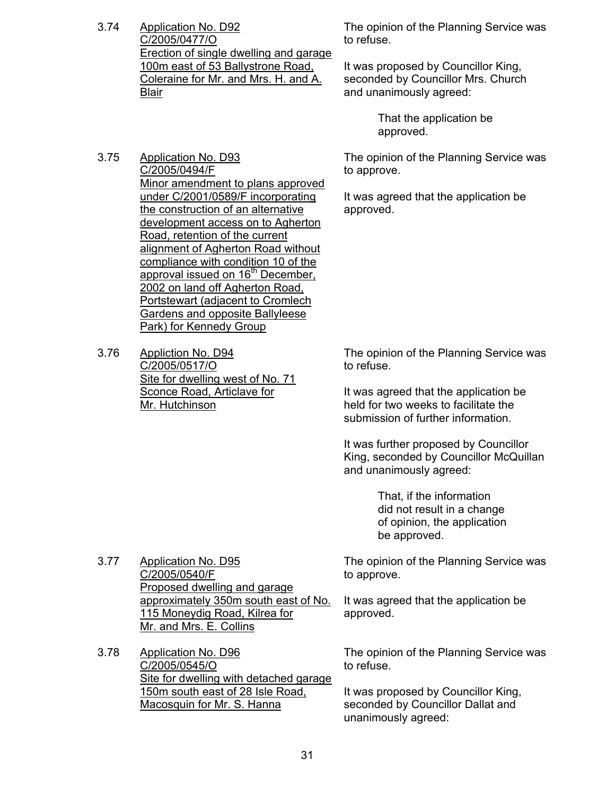3.74 Application No. D92 C/2005/0477/O Erection of single dwelling and garage 100m east of 53 Ballystrone Road, Coleraine for Mr. and Mrs. H. and A. Blair

The opinion of the Planning Service was to refuse.

It was proposed by Councillor King, seconded by Councillor Mrs. Church and unanimously agreed:

> That the application be approved.

The opinion of the Planning Service was to approve.

It was agreed that the application be approved.

3.75 Application No. D93 C/2005/0494/F Minor amendment to plans approved under C/2001/0589/F incorporating the construction of an alternative development access on to Agherton Road, retention of the current alignment of Agherton Road without compliance with condition 10 of the approval issued on 16<sup>th</sup> December, 2002 on land off Agherton Road, Portstewart (adjacent to Cromlech Gardens and opposite Ballyleese Park) for Kennedy Group

3.76 Appliction No. D94 C/2005/0517/O Site for dwelling west of No. 71 Sconce Road, Articlave for Mr. Hutchinson

The opinion of the Planning Service was to refuse.

It was agreed that the application be held for two weeks to facilitate the submission of further information.

It was further proposed by Councillor King, seconded by Councillor McQuillan and unanimously agreed:

> That, if the information did not result in a change of opinion, the application be approved.

The opinion of the Planning Service was to approve.

It was agreed that the application be approved.

The opinion of the Planning Service was to refuse.

It was proposed by Councillor King, seconded by Councillor Dallat and unanimously agreed:

3.77 Application No. D95 C/2005/0540/F Proposed dwelling and garage approximately 350m south east of No. 115 Moneydig Road, Kilrea for Mr. and Mrs. E. Collins

3.78 Application No. D96 C/2005/0545/O Site for dwelling with detached garage 150m south east of 28 Isle Road, Macosquin for Mr. S. Hanna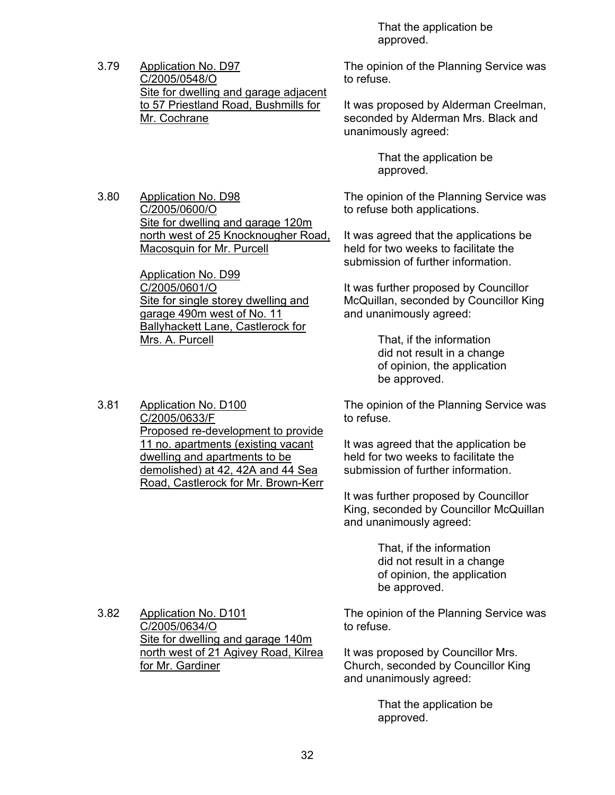That the application be approved.

3.79 Application No. D97 C/2005/0548/O Site for dwelling and garage adjacent to 57 Priestland Road, Bushmills for Mr. Cochrane

3.80 Application No. D98 C/2005/0600/O Site for dwelling and garage 120m north west of 25 Knocknougher Road, Macosquin for Mr. Purcell

> Application No. D99 C/2005/0601/O Site for single storey dwelling and garage 490m west of No. 11 Ballyhackett Lane, Castlerock for Mrs. A. Purcell

3.81 Application No. D100 C/2005/0633/F Proposed re-development to provide 11 no. apartments (existing vacant dwelling and apartments to be demolished) at 42, 42A and 44 Sea Road, Castlerock for Mr. Brown-Kerr The opinion of the Planning Service was to refuse.

It was proposed by Alderman Creelman, seconded by Alderman Mrs. Black and unanimously agreed:

> That the application be approved.

The opinion of the Planning Service was to refuse both applications.

It was agreed that the applications be held for two weeks to facilitate the submission of further information.

It was further proposed by Councillor McQuillan, seconded by Councillor King and unanimously agreed:

> That, if the information did not result in a change of opinion, the application be approved.

The opinion of the Planning Service was to refuse.

It was agreed that the application be held for two weeks to facilitate the submission of further information.

It was further proposed by Councillor King, seconded by Councillor McQuillan and unanimously agreed:

> That, if the information did not result in a change of opinion, the application be approved.

3.82 Application No. D101 C/2005/0634/O Site for dwelling and garage 140m north west of 21 Agivey Road, Kilrea for Mr. Gardiner

The opinion of the Planning Service was to refuse.

It was proposed by Councillor Mrs. Church, seconded by Councillor King and unanimously agreed:

> That the application be approved.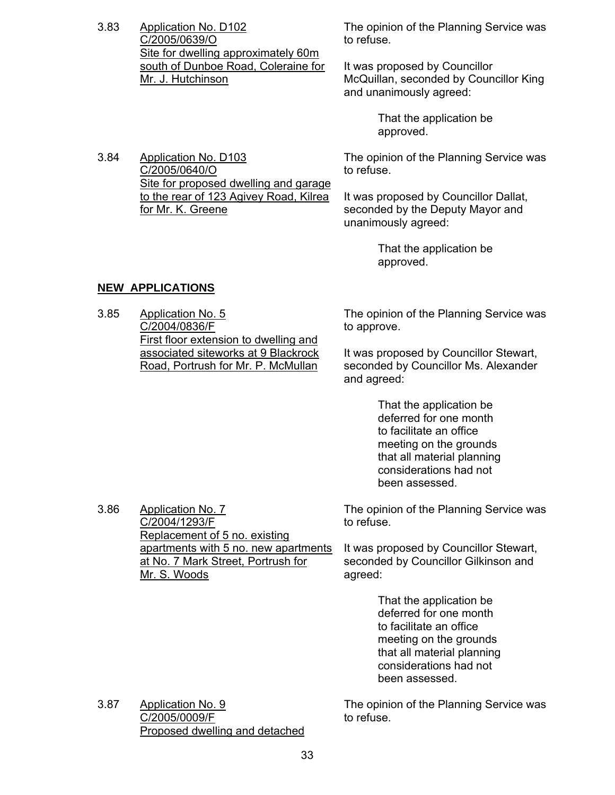3.83 Application No. D102 C/2005/0639/O Site for dwelling approximately 60m south of Dunboe Road, Coleraine for Mr. J. Hutchinson

The opinion of the Planning Service was to refuse.

It was proposed by Councillor McQuillan, seconded by Councillor King and unanimously agreed:

> That the application be approved.

3.84 Application No. D103 C/2005/0640/O Site for proposed dwelling and garage to the rear of 123 Agivey Road, Kilrea for Mr. K. Greene

The opinion of the Planning Service was to refuse.

It was proposed by Councillor Dallat, seconded by the Deputy Mayor and unanimously agreed:

> That the application be approved.

# **NEW APPLICATIONS**

3.86 Application No. 7

C/2004/1293/F

Mr. S. Woods

Replacement of 5 no. existing

apartments with 5 no. new apartments at No. 7 Mark Street, Portrush for

3.85 Application No. 5 C/2004/0836/F First floor extension to dwelling and associated siteworks at 9 Blackrock Road, Portrush for Mr. P. McMullan

The opinion of the Planning Service was to approve.

It was proposed by Councillor Stewart, seconded by Councillor Ms. Alexander and agreed:

> That the application be deferred for one month to facilitate an office meeting on the grounds that all material planning considerations had not been assessed.

The opinion of the Planning Service was to refuse.

It was proposed by Councillor Stewart, seconded by Councillor Gilkinson and agreed:

> That the application be deferred for one month to facilitate an office meeting on the grounds that all material planning considerations had not been assessed.

3.87 Application No. 9 C/2005/0009/F Proposed dwelling and detached The opinion of the Planning Service was to refuse.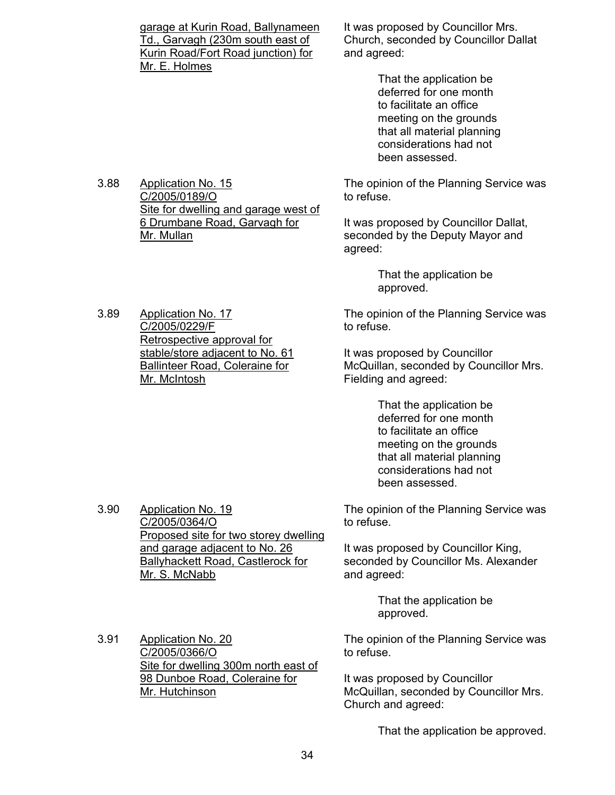| garage at Kurin Road, Ballynameen  |
|------------------------------------|
| Td., Garvagh (230m south east of   |
| Kurin Road/Fort Road junction) for |
| Mr. E. Holmes                      |
|                                    |

Site for dwelling and garage west of 6 Drumbane Road, Garvagh for

3.88 Application No. 15 C/2005/0189/O

Mr. Mullan

3.89 Application No. 17 C/2005/0229/F

3.90 Application No. 19 C/2005/0364/O

Mr. S. McNabb

Retrospective approval for stable/store adjacent to No. 61 It was proposed by Councillor Mrs. Church, seconded by Councillor Dallat and agreed:

> That the application be deferred for one month to facilitate an office meeting on the grounds that all material planning considerations had not been assessed.

The opinion of the Planning Service was to refuse.

It was proposed by Councillor Dallat, seconded by the Deputy Mayor and agreed:

> That the application be approved.

The opinion of the Planning Service was to refuse.

It was proposed by Councillor McQuillan, seconded by Councillor Mrs. Fielding and agreed:

> That the application be deferred for one month to facilitate an office meeting on the grounds that all material planning considerations had not been assessed.

The opinion of the Planning Service was to refuse.

It was proposed by Councillor King, seconded by Councillor Ms. Alexander and agreed:

> That the application be approved.

3.91 Application No. 20 C/2005/0366/O Site for dwelling 300m north east of 98 Dunboe Road, Coleraine for Mr. Hutchinson

Proposed site for two storey dwelling

and garage adjacent to No. 26 Ballyhackett Road, Castlerock for

> The opinion of the Planning Service was to refuse.

It was proposed by Councillor McQuillan, seconded by Councillor Mrs. Church and agreed:

That the application be approved.

Ballinteer Road, Coleraine for Mr. McIntosh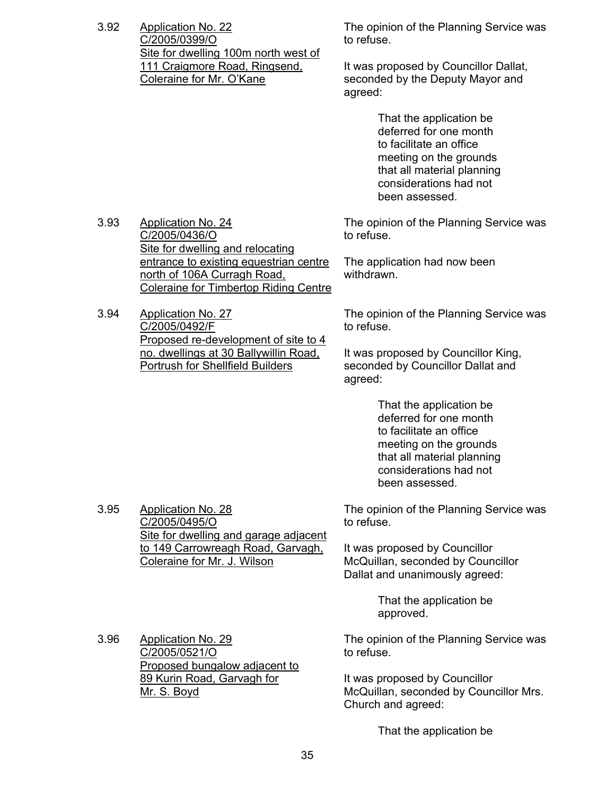3.92 Application No. 22 C/2005/0399/O Site for dwelling 100m north west of 111 Craigmore Road, Ringsend, Coleraine for Mr. O'Kane

The opinion of the Planning Service was to refuse.

It was proposed by Councillor Dallat, seconded by the Deputy Mayor and agreed:

> That the application be deferred for one month to facilitate an office meeting on the grounds that all material planning considerations had not been assessed.

The opinion of the Planning Service was to refuse.

The application had now been withdrawn.

The opinion of the Planning Service was to refuse.

It was proposed by Councillor King, seconded by Councillor Dallat and agreed:

> That the application be deferred for one month to facilitate an office meeting on the grounds that all material planning considerations had not been assessed.

The opinion of the Planning Service was to refuse.

It was proposed by Councillor McQuillan, seconded by Councillor Dallat and unanimously agreed:

> That the application be approved.

The opinion of the Planning Service was to refuse.

> It was proposed by Councillor McQuillan, seconded by Councillor Mrs. Church and agreed:

> > That the application be

3.93 Application No. 24 C/2005/0436/O Site for dwelling and relocating entrance to existing equestrian centre north of 106A Curragh Road, Coleraine for Timbertop Riding Centre

3.94 Application No. 27 C/2005/0492/F Proposed re-development of site to 4 no. dwellings at 30 Ballywillin Road, Portrush for Shellfield Builders

3.95 Application No. 28 C/2005/0495/O Site for dwelling and garage adjacent to 149 Carrowreagh Road, Garvagh, Coleraine for Mr. J. Wilson

3.96 Application No. 29 C/2005/0521/O Proposed bungalow adjacent to 89 Kurin Road, Garvagh for Mr. S. Boyd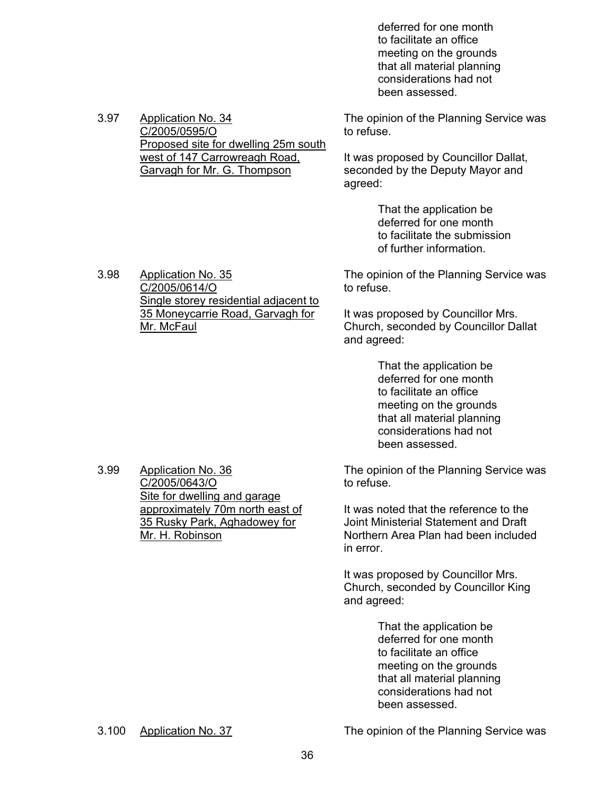deferred for one month to facilitate an office meeting on the grounds that all material planning considerations had not been assessed.

The opinion of the Planning Service was to refuse.

It was proposed by Councillor Dallat, seconded by the Deputy Mayor and agreed:

> That the application be deferred for one month to facilitate the submission of further information.

3.98 Application No. 35 C/2005/0614/O Single storey residential adjacent to 35 Moneycarrie Road, Garvagh for Mr. McFaul

Proposed site for dwelling 25m south west of 147 Carrowreagh Road, Garvagh for Mr. G. Thompson

> The opinion of the Planning Service was to refuse.

It was proposed by Councillor Mrs. Church, seconded by Councillor Dallat and agreed:

> That the application be deferred for one month to facilitate an office meeting on the grounds that all material planning considerations had not been assessed.

The opinion of the Planning Service was to refuse.

It was noted that the reference to the Joint Ministerial Statement and Draft Northern Area Plan had been included in error.

It was proposed by Councillor Mrs. Church, seconded by Councillor King and agreed:

> That the application be deferred for one month to facilitate an office meeting on the grounds that all material planning considerations had not been assessed.

3.100 Application No. 37 The opinion of the Planning Service was

3.99 Application No. 36 C/2005/0643/O Site for dwelling and garage approximately 70m north east of 35 Rusky Park, Aghadowey for

Mr. H. Robinson

3.97 Application No. 34 C/2005/0595/O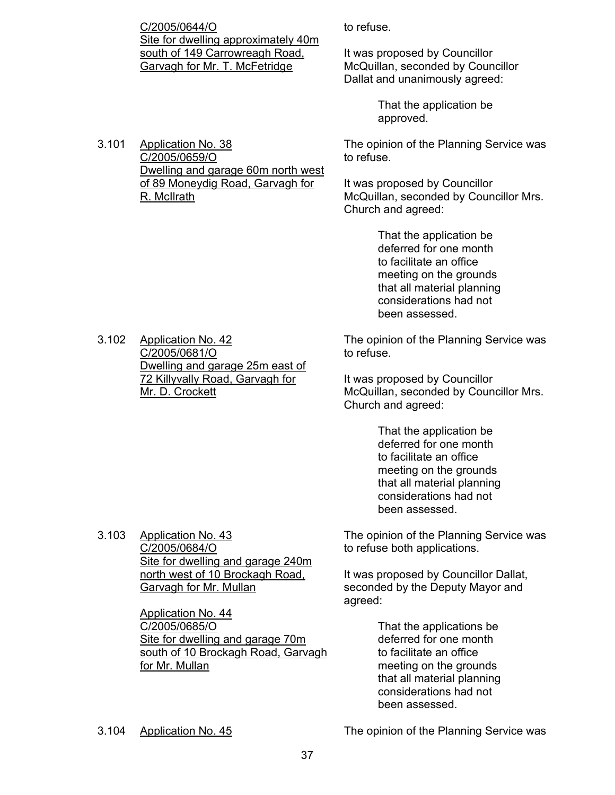C/2005/0644/O Site for dwelling approximately 40m south of 149 Carrowreagh Road, Garvagh for Mr. T. McFetridge

Dwelling and garage 60m north west of 89 Moneydig Road, Garvagh for

3.101 Application No. 38 C/2005/0659/O

R. McIlrath

to refuse.

It was proposed by Councillor McQuillan, seconded by Councillor Dallat and unanimously agreed:

> That the application be approved.

The opinion of the Planning Service was to refuse.

It was proposed by Councillor McQuillan, seconded by Councillor Mrs. Church and agreed:

> That the application be deferred for one month to facilitate an office meeting on the grounds that all material planning considerations had not been assessed.

The opinion of the Planning Service was to refuse.

It was proposed by Councillor McQuillan, seconded by Councillor Mrs. Church and agreed:

> That the application be deferred for one month to facilitate an office meeting on the grounds that all material planning considerations had not been assessed.

The opinion of the Planning Service was to refuse both applications.

It was proposed by Councillor Dallat, seconded by the Deputy Mayor and agreed:

> That the applications be deferred for one month to facilitate an office meeting on the grounds that all material planning considerations had not been assessed.

3.102 Application No. 42 C/2005/0681/O Dwelling and garage 25m east of 72 Killyvally Road, Garvagh for Mr. D. Crockett

3.103 Application No. 43 C/2005/0684/O Site for dwelling and garage 240m north west of 10 Brockagh Road, Garvagh for Mr. Mullan

> Application No. 44 C/2005/0685/O Site for dwelling and garage 70m south of 10 Brockagh Road, Garvagh for Mr. Mullan

3.104 Application No. 45 The opinion of the Planning Service was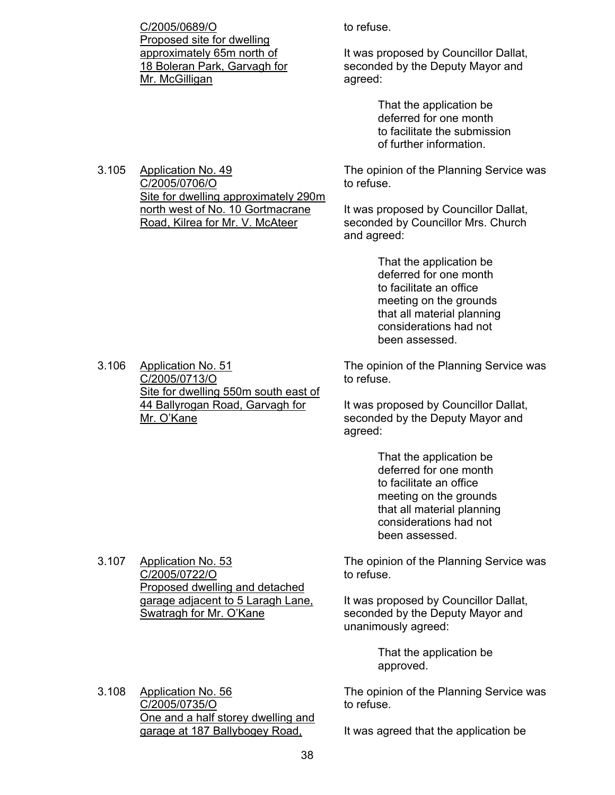C/2005/0689/O Proposed site for dwelling approximately 65m north of 18 Boleran Park, Garvagh for Mr. McGilligan

Site for dwelling approximately 290m north west of No. 10 Gortmacrane Road, Kilrea for Mr. V. McAteer

to refuse.

It was proposed by Councillor Dallat, seconded by the Deputy Mayor and agreed:

> That the application be deferred for one month to facilitate the submission of further information.

The opinion of the Planning Service was to refuse.

It was proposed by Councillor Dallat, seconded by Councillor Mrs. Church and agreed:

> That the application be deferred for one month to facilitate an office meeting on the grounds that all material planning considerations had not been assessed.

The opinion of the Planning Service was to refuse.

It was proposed by Councillor Dallat, seconded by the Deputy Mayor and agreed:

> That the application be deferred for one month to facilitate an office meeting on the grounds that all material planning considerations had not been assessed.

The opinion of the Planning Service was to refuse.

It was proposed by Councillor Dallat, seconded by the Deputy Mayor and unanimously agreed:

> That the application be approved.

The opinion of the Planning Service was to refuse.

It was agreed that the application be

3.106 Application No. 51 C/2005/0713/O Site for dwelling 550m south east of 44 Ballyrogan Road, Garvagh for

Mr. O'Kane

3.105 Application No. 49 C/2005/0706/O

3.107 Application No. 53 C/2005/0722/O Proposed dwelling and detached garage adjacent to 5 Laragh Lane, Swatragh for Mr. O'Kane

One and a half storey dwelling and

3.108 Application No. 56 C/2005/0735/O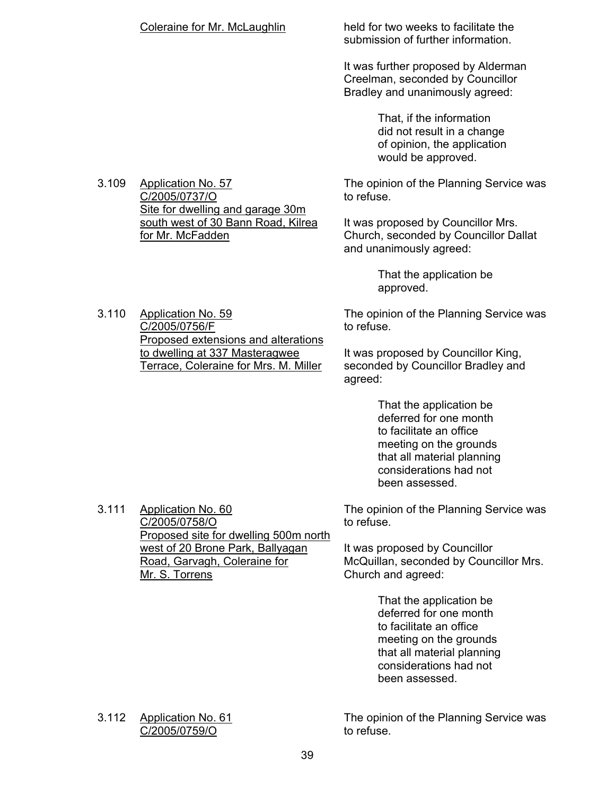held for two weeks to facilitate the submission of further information.

It was further proposed by Alderman Creelman, seconded by Councillor Bradley and unanimously agreed:

> That, if the information did not result in a change of opinion, the application would be approved.

The opinion of the Planning Service was to refuse.

It was proposed by Councillor Mrs. Church, seconded by Councillor Dallat and unanimously agreed:

> That the application be approved.

The opinion of the Planning Service was to refuse.

It was proposed by Councillor King, seconded by Councillor Bradley and agreed:

> That the application be deferred for one month to facilitate an office meeting on the grounds that all material planning considerations had not been assessed.

The opinion of the Planning Service was to refuse.

It was proposed by Councillor McQuillan, seconded by Councillor Mrs. Church and agreed:

> That the application be deferred for one month to facilitate an office meeting on the grounds that all material planning considerations had not been assessed.

3.112 Application No. 61 C/2005/0759/O

3.111 Application No. 60 C/2005/0758/O

Mr. S. Torrens

The opinion of the Planning Service was to refuse.

C/2005/0756/F Proposed extensions and alterations to dwelling at 337 Masteragwee

C/2005/0737/O Site for dwelling and garage 30m south west of 30 Bann Road, Kilrea for Mr. McFadden

3.110 Application No. 59

3.109 Application No. 57

Terrace, Coleraine for Mrs. M. Miller

Proposed site for dwelling 500m north west of 20 Brone Park, Ballyagan Road, Garvagh, Coleraine for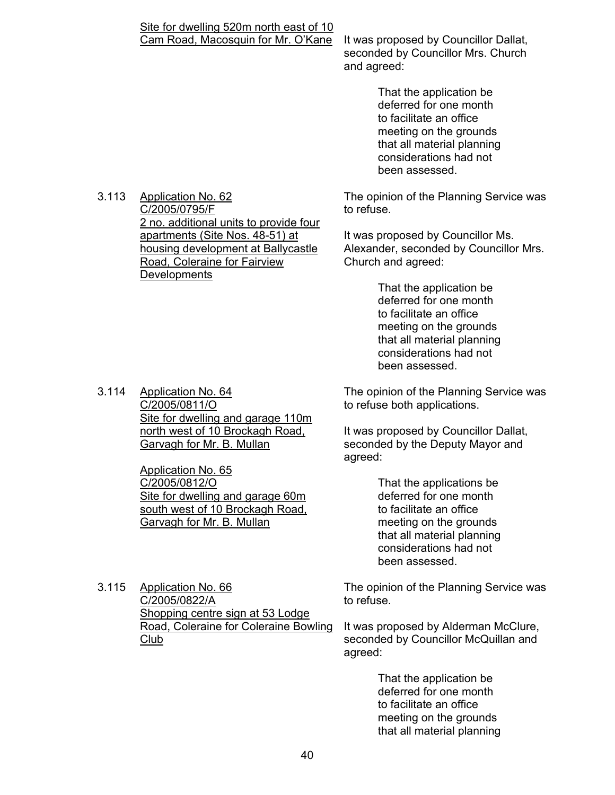# Site for dwelling 520m north east of 10

Cam Road, Macosquin for Mr. O'Kane It was proposed by Councillor Dallat, seconded by Councillor Mrs. Church and agreed:

> That the application be deferred for one month to facilitate an office meeting on the grounds that all material planning considerations had not been assessed.

The opinion of the Planning Service was to refuse.

It was proposed by Councillor Ms. Alexander, seconded by Councillor Mrs. Church and agreed:

> That the application be deferred for one month to facilitate an office meeting on the grounds that all material planning considerations had not been assessed.

The opinion of the Planning Service was to refuse both applications.

It was proposed by Councillor Dallat, seconded by the Deputy Mayor and agreed:

> That the applications be deferred for one month to facilitate an office meeting on the grounds that all material planning considerations had not been assessed.

The opinion of the Planning Service was to refuse.

It was proposed by Alderman McClure, seconded by Councillor McQuillan and agreed:

> That the application be deferred for one month to facilitate an office meeting on the grounds that all material planning

3.113 Application No. 62 C/2005/0795/F 2 no. additional units to provide four apartments (Site Nos. 48-51) at housing development at Ballycastle Road, Coleraine for Fairview **Developments** 

3.114 Application No. 64 C/2005/0811/O Site for dwelling and garage 110m north west of 10 Brockagh Road, Garvagh for Mr. B. Mullan

> Application No. 65 C/2005/0812/O Site for dwelling and garage 60m south west of 10 Brockagh Road, Garvagh for Mr. B. Mullan

3.115 Application No. 66 C/2005/0822/A Shopping centre sign at 53 Lodge Road, Coleraine for Coleraine Bowling Club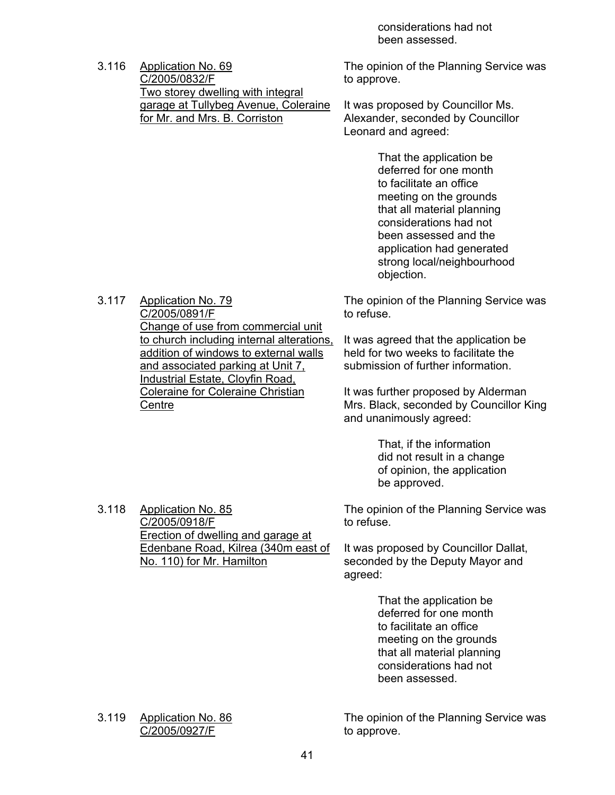considerations had not been assessed.

3.116 Application No. 69 C/2005/0832/F Two storey dwelling with integral garage at Tullybeg Avenue, Coleraine for Mr. and Mrs. B. Corriston

> Change of use from commercial unit to church including internal alterations, addition of windows to external walls and associated parking at Unit 7, Industrial Estate, Cloyfin Road, Coleraine for Coleraine Christian

Erection of dwelling and garage at Edenbane Road, Kilrea (340m east of

No. 110) for Mr. Hamilton

The opinion of the Planning Service was to approve.

It was proposed by Councillor Ms. Alexander, seconded by Councillor Leonard and agreed:

> That the application be deferred for one month to facilitate an office meeting on the grounds that all material planning considerations had not been assessed and the application had generated strong local/neighbourhood objection.

The opinion of the Planning Service was to refuse.

It was agreed that the application be held for two weeks to facilitate the submission of further information.

It was further proposed by Alderman Mrs. Black, seconded by Councillor King and unanimously agreed:

> That, if the information did not result in a change of opinion, the application be approved.

The opinion of the Planning Service was to refuse.

It was proposed by Councillor Dallat, seconded by the Deputy Mayor and agreed:

> That the application be deferred for one month to facilitate an office meeting on the grounds that all material planning considerations had not been assessed.

3.119 Application No. 86 C/2005/0927/F

3.117 Application No. 79 C/2005/0891/F

**Centre** 

3.118 Application No. 85 C/2005/0918/F

> The opinion of the Planning Service was to approve.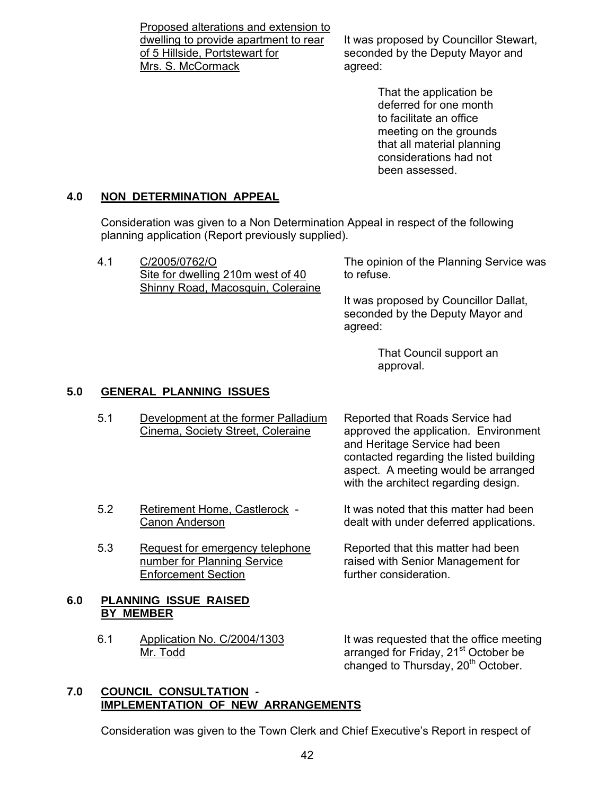Proposed alterations and extension to dwelling to provide apartment to rear of 5 Hillside, Portstewart for Mrs. S. McCormack

It was proposed by Councillor Stewart, seconded by the Deputy Mayor and agreed:

> That the application be deferred for one month to facilitate an office meeting on the grounds that all material planning considerations had not been assessed.

# **4.0 NON DETERMINATION APPEAL**

 Consideration was given to a Non Determination Appeal in respect of the following planning application (Report previously supplied).

4.1 C/2005/0762/O Site for dwelling 210m west of 40 Shinny Road, Macosquin, Coleraine

The opinion of the Planning Service was to refuse.

It was proposed by Councillor Dallat, seconded by the Deputy Mayor and agreed:

> That Council support an approval.

# **5.0 GENERAL PLANNING ISSUES**

5.1 Development at the former Palladium Cinema, Society Street, Coleraine

Reported that Roads Service had approved the application. Environment and Heritage Service had been contacted regarding the listed building aspect. A meeting would be arranged with the architect regarding design.

It was noted that this matter had been dealt with under deferred applications.

Reported that this matter had been raised with Senior Management for further consideration.

#### **6.0 PLANNING ISSUE RAISED BY MEMBER**

6.1 Application No. C/2004/1303 Mr. Todd

Enforcement Section

5.2 Retirement Home, Castlerock - Canon Anderson

5.3 Request for emergency telephone number for Planning Service

> It was requested that the office meeting arranged for Friday, 21<sup>st</sup> October be changed to Thursday, 20<sup>th</sup> October.

#### **7.0 COUNCIL CONSULTATION - IMPLEMENTATION OF NEW ARRANGEMENTS**

Consideration was given to the Town Clerk and Chief Executive's Report in respect of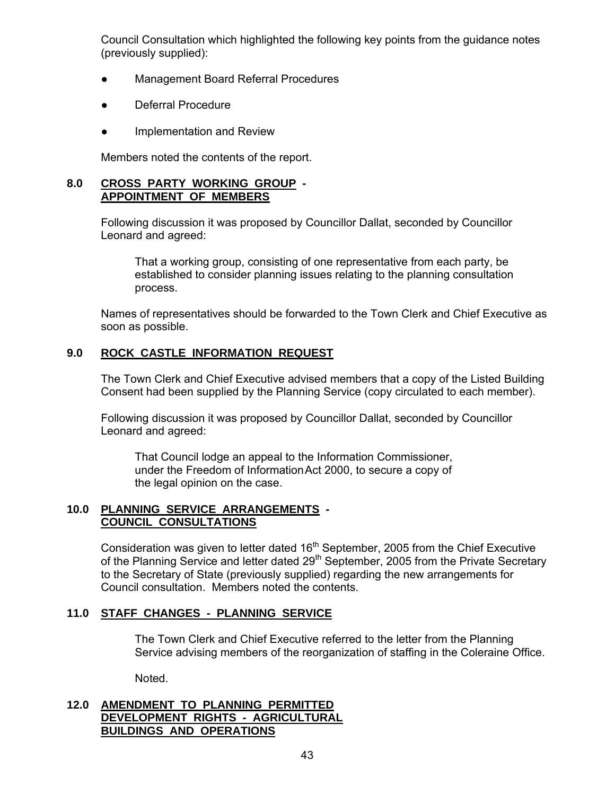Council Consultation which highlighted the following key points from the guidance notes (previously supplied):

- **Management Board Referral Procedures**
- Deferral Procedure
- Implementation and Review

Members noted the contents of the report.

#### **8.0 CROSS PARTY WORKING GROUP - APPOINTMENT OF MEMBERS**

 Following discussion it was proposed by Councillor Dallat, seconded by Councillor Leonard and agreed:

 That a working group, consisting of one representative from each party, be established to consider planning issues relating to the planning consultation process.

 Names of representatives should be forwarded to the Town Clerk and Chief Executive as soon as possible.

# **9.0 ROCK CASTLE INFORMATION REQUEST**

 The Town Clerk and Chief Executive advised members that a copy of the Listed Building Consent had been supplied by the Planning Service (copy circulated to each member).

 Following discussion it was proposed by Councillor Dallat, seconded by Councillor Leonard and agreed:

 That Council lodge an appeal to the Information Commissioner, under the Freedom of Information Act 2000, to secure a copy of the legal opinion on the case.

# **10.0 PLANNING SERVICE ARRANGEMENTS - COUNCIL CONSULTATIONS**

Consideration was given to letter dated  $16<sup>th</sup>$  September, 2005 from the Chief Executive of the Planning Service and letter dated 29<sup>th</sup> September, 2005 from the Private Secretary to the Secretary of State (previously supplied) regarding the new arrangements for Council consultation. Members noted the contents.

# **11.0 STAFF CHANGES - PLANNING SERVICE**

 The Town Clerk and Chief Executive referred to the letter from the Planning Service advising members of the reorganization of staffing in the Coleraine Office.

Noted.

# **12.0 AMENDMENT TO PLANNING PERMITTED DEVELOPMENT RIGHTS - AGRICULTURAL BUILDINGS AND OPERATIONS**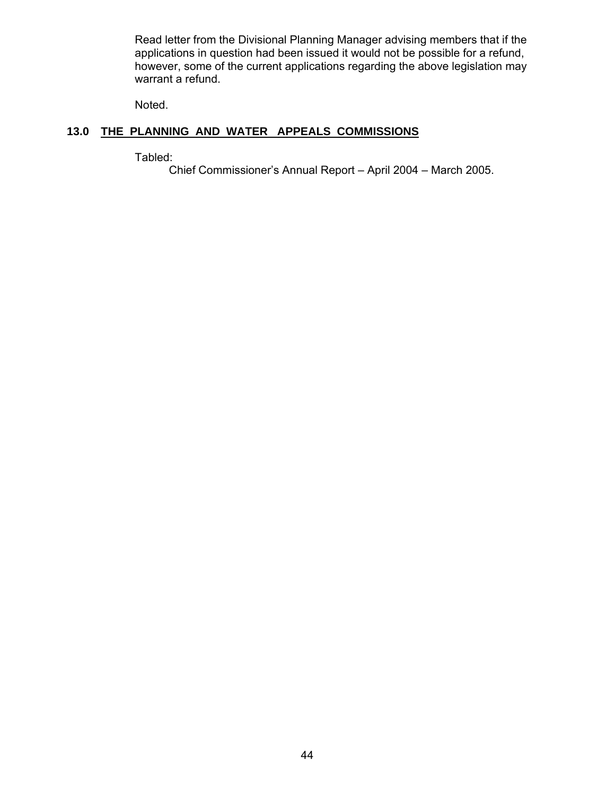Read letter from the Divisional Planning Manager advising members that if the applications in question had been issued it would not be possible for a refund, however, some of the current applications regarding the above legislation may warrant a refund.

Noted.

# **13.0 THE PLANNING AND WATER APPEALS COMMISSIONS**

Tabled:

Chief Commissioner's Annual Report – April 2004 – March 2005.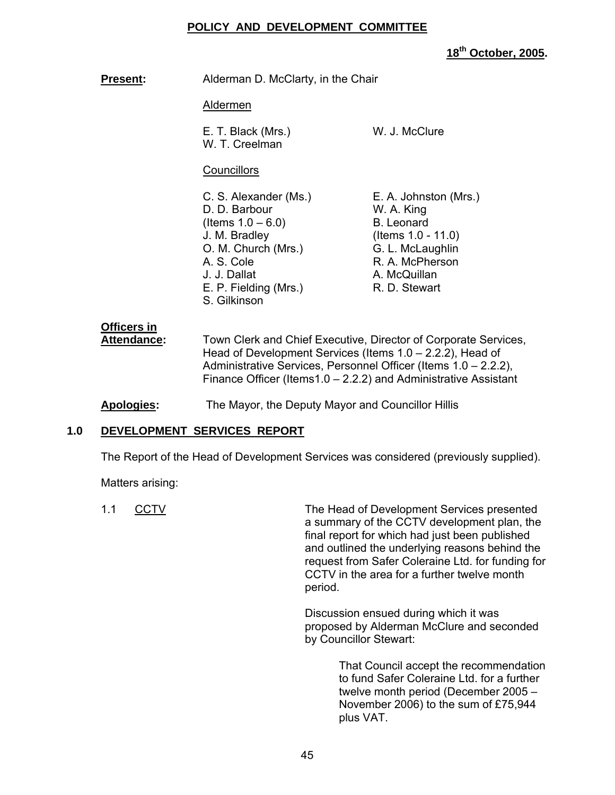#### **POLICY AND DEVELOPMENT COMMITTEE**

**18th October, 2005.** 

**Present:** Alderman D. McClarty, in the Chair

#### Aldermen

E. T. Black (Mrs.) W. J. McClure W. T. Creelman

# **Councillors**

C. S. Alexander (Ms.) E. A. Johnston (Mrs.) D. D. Barbour W. A. King  $($ ltems  $1.0 - 6.0$ ) B. Leonard J. M. Bradley (Items 1.0 - 11.0) O. M. Church (Mrs.) **G. L. McLaughlin** A. S. Cole R. A. McPherson J. J. Dallat A. McQuillan E. P. Fielding (Mrs.) R. D. Stewart S. Gilkinson

# **Officers in**

 **Attendance:** Town Clerk and Chief Executive, Director of Corporate Services, Head of Development Services (Items 1.0 – 2.2.2), Head of Administrative Services, Personnel Officer (Items 1.0 – 2.2.2), Finance Officer (Items1.0 – 2.2.2) and Administrative Assistant

**Apologies:** The Mayor, the Deputy Mayor and Councillor Hillis

# **1.0 DEVELOPMENT SERVICES REPORT**

The Report of the Head of Development Services was considered (previously supplied).

Matters arising:

1.1 CCTV The Head of Development Services presented a summary of the CCTV development plan, the final report for which had just been published and outlined the underlying reasons behind the request from Safer Coleraine Ltd. for funding for CCTV in the area for a further twelve month period.

> Discussion ensued during which it was proposed by Alderman McClure and seconded by Councillor Stewart:

> > That Council accept the recommendation to fund Safer Coleraine Ltd. for a further twelve month period (December 2005 – November 2006) to the sum of £75,944 plus VAT.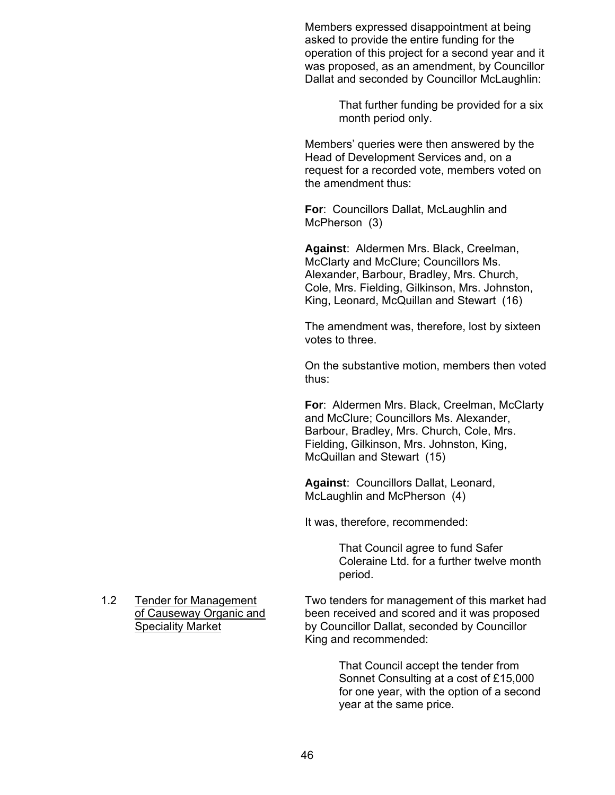Members expressed disappointment at being asked to provide the entire funding for the operation of this project for a second year and it was proposed, as an amendment, by Councillor Dallat and seconded by Councillor McLaughlin:

> That further funding be provided for a six month period only.

Members' queries were then answered by the Head of Development Services and, on a request for a recorded vote, members voted on the amendment thus:

**For**: Councillors Dallat, McLaughlin and McPherson (3)

**Against**: Aldermen Mrs. Black, Creelman, McClarty and McClure; Councillors Ms. Alexander, Barbour, Bradley, Mrs. Church, Cole, Mrs. Fielding, Gilkinson, Mrs. Johnston, King, Leonard, McQuillan and Stewart (16)

The amendment was, therefore, lost by sixteen votes to three.

On the substantive motion, members then voted thus:

**For**: Aldermen Mrs. Black, Creelman, McClarty and McClure; Councillors Ms. Alexander, Barbour, Bradley, Mrs. Church, Cole, Mrs. Fielding, Gilkinson, Mrs. Johnston, King, McQuillan and Stewart (15)

**Against**: Councillors Dallat, Leonard, McLaughlin and McPherson (4)

It was, therefore, recommended:

That Council agree to fund Safer Coleraine Ltd. for a further twelve month period.

1.2 Tender for Management Two tenders for management of this market had of Causeway Organic and been received and scored and it was proposed Speciality Market by Councillor Dallat, seconded by Councillor King and recommended:

> That Council accept the tender from Sonnet Consulting at a cost of £15,000 for one year, with the option of a second year at the same price.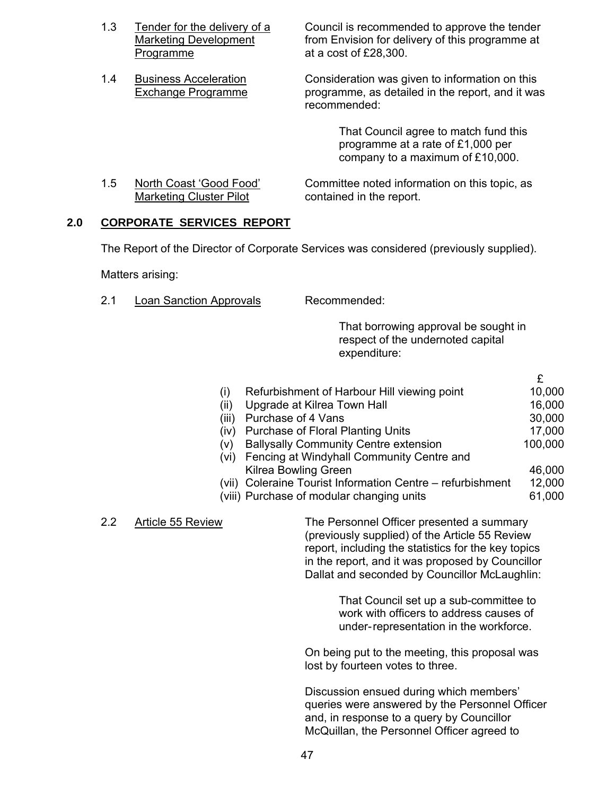| 1.3 | Tender for the delivery of a |
|-----|------------------------------|
|     | <b>Marketing Development</b> |
|     | Programme                    |

Council is recommended to approve the tender from Envision for delivery of this programme at at a cost of  $£28,300.$ 

1.4 Business Acceleration Consideration was given to information on this Exchange Programme programme, as detailed in the report, and it was recommended:

> That Council agree to match fund this programme at a rate of £1,000 per company to a maximum of £10,000.

1.5 North Coast 'Good Food' Committee noted information on this topic, as Marketing Cluster Pilot contained in the report.

# **2.0 CORPORATE SERVICES REPORT**

The Report of the Director of Corporate Services was considered (previously supplied).

Matters arising:

2.1 Loan Sanction Approvals Recommended:

That borrowing approval be sought in respect of the undernoted capital expenditure:

|                                                            | £       |
|------------------------------------------------------------|---------|
| Refurbishment of Harbour Hill viewing point<br>(i)         | 10,000  |
| Upgrade at Kilrea Town Hall<br>(ii)                        | 16,000  |
| Purchase of 4 Vans<br>(iii)                                | 30,000  |
| <b>Purchase of Floral Planting Units</b><br>(iv)           | 17,000  |
| <b>Ballysally Community Centre extension</b><br>(V)        | 100,000 |
| (vi) Fencing at Windyhall Community Centre and             |         |
| Kilrea Bowling Green                                       | 46,000  |
| (vii) Coleraine Tourist Information Centre - refurbishment | 12,000  |
| (viii) Purchase of modular changing units                  | 61,000  |
|                                                            |         |

2.2 Article 55 Review The Personnel Officer presented a summary (previously supplied) of the Article 55 Review report, including the statistics for the key topics in the report, and it was proposed by Councillor Dallat and seconded by Councillor McLaughlin:

> That Council set up a sub-committee to work with officers to address causes of under- representation in the workforce.

On being put to the meeting, this proposal was lost by fourteen votes to three.

Discussion ensued during which members' queries were answered by the Personnel Officer and, in response to a query by Councillor McQuillan, the Personnel Officer agreed to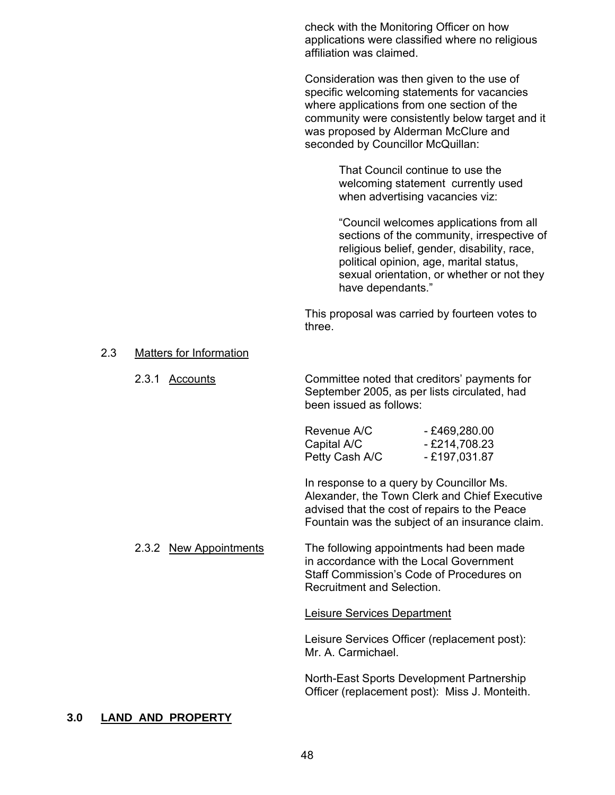check with the Monitoring Officer on how applications were classified where no religious affiliation was claimed.

Consideration was then given to the use of specific welcoming statements for vacancies where applications from one section of the community were consistently below target and it was proposed by Alderman McClure and seconded by Councillor McQuillan:

> That Council continue to use the welcoming statement currently used when advertising vacancies viz:

 "Council welcomes applications from all sections of the community, irrespective of religious belief, gender, disability, race, political opinion, age, marital status, sexual orientation, or whether or not they have dependants."

This proposal was carried by fourteen votes to three.

#### 2.3 Matters for Information

2.3.1 Accounts Committee noted that creditors' payments for September 2005, as per lists circulated, had been issued as follows:

> Revenue A/C - £469,280.00 Capital A/C  $-$  £214,708.23 Petty Cash A/C - £197,031.87

 In response to a query by Councillor Ms. Alexander, the Town Clerk and Chief Executive advised that the cost of repairs to the Peace Fountain was the subject of an insurance claim.

 2.3.2 New Appointments The following appointments had been made in accordance with the Local Government Staff Commission's Code of Procedures on Recruitment and Selection.

Leisure Services Department

Leisure Services Officer (replacement post): Mr. A. Carmichael.

North-East Sports Development Partnership Officer (replacement post): Miss J. Monteith.

#### **3.0 LAND AND PROPERTY**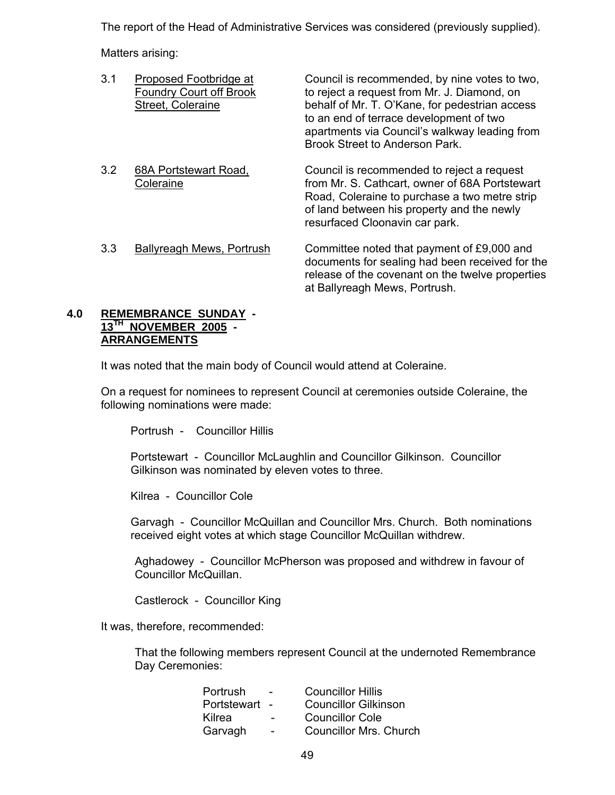The report of the Head of Administrative Services was considered (previously supplied).

Matters arising:

| 3.1 | Proposed Footbridge at<br><b>Foundry Court off Brook</b><br>Street, Coleraine | Council is recommended, by nine votes to two,<br>to reject a request from Mr. J. Diamond, on<br>behalf of Mr. T. O'Kane, for pedestrian access<br>to an end of terrace development of two<br>apartments via Council's walkway leading from<br>Brook Street to Anderson Park. |
|-----|-------------------------------------------------------------------------------|------------------------------------------------------------------------------------------------------------------------------------------------------------------------------------------------------------------------------------------------------------------------------|
| 3.2 | 68A Portstewart Road,<br>Coleraine                                            | Council is recommended to reject a request<br>from Mr. S. Cathcart, owner of 68A Portstewart<br>Road, Coleraine to purchase a two metre strip<br>of land between his property and the newly<br>resurfaced Cloonavin car park.                                                |
| 3.3 | Ballyreagh Mews, Portrush                                                     | Committee noted that payment of £9,000 and<br>documents for sealing had been received for the<br>release of the covenant on the twelve properties<br>at Ballyreagh Mews, Portrush.                                                                                           |

# **4.0 REMEMBRANCE SUNDAY - 13TH NOVEMBER 2005 - ARRANGEMENTS**

It was noted that the main body of Council would attend at Coleraine.

 On a request for nominees to represent Council at ceremonies outside Coleraine, the following nominations were made:

Portrush - Councillor Hillis

Portstewart - Councillor McLaughlin and Councillor Gilkinson. Councillor Gilkinson was nominated by eleven votes to three.

Kilrea - Councillor Cole

Garvagh - Councillor McQuillan and Councillor Mrs. Church. Both nominations received eight votes at which stage Councillor McQuillan withdrew.

Aghadowey - Councillor McPherson was proposed and withdrew in favour of Councillor McQuillan.

Castlerock - Councillor King

It was, therefore, recommended:

 That the following members represent Council at the undernoted Remembrance Day Ceremonies:

|                          | <b>Councillor Hillis</b>      |
|--------------------------|-------------------------------|
| $\overline{\phantom{a}}$ | <b>Councillor Gilkinson</b>   |
| $\overline{\phantom{0}}$ | <b>Councillor Cole</b>        |
| $\sim$                   | <b>Councillor Mrs. Church</b> |
|                          |                               |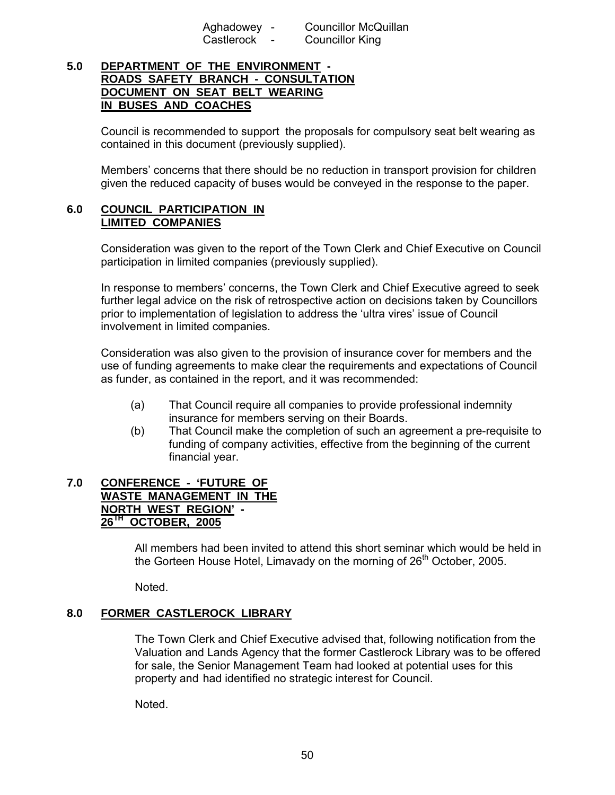Aghadowey - Councillor McQuillan Castlerock - Councillor King

# **5.0 DEPARTMENT OF THE ENVIRONMENT - ROADS SAFETY BRANCH - CONSULTATION DOCUMENT ON SEAT BELT WEARING IN BUSES AND COACHES**

Council is recommended to support the proposals for compulsory seat belt wearing as contained in this document (previously supplied).

 Members' concerns that there should be no reduction in transport provision for children given the reduced capacity of buses would be conveyed in the response to the paper.

#### **6.0 COUNCIL PARTICIPATION IN LIMITED COMPANIES**

Consideration was given to the report of the Town Clerk and Chief Executive on Council participation in limited companies (previously supplied).

 In response to members' concerns, the Town Clerk and Chief Executive agreed to seek further legal advice on the risk of retrospective action on decisions taken by Councillors prior to implementation of legislation to address the 'ultra vires' issue of Council involvement in limited companies.

 Consideration was also given to the provision of insurance cover for members and the use of funding agreements to make clear the requirements and expectations of Council as funder, as contained in the report, and it was recommended:

- (a) That Council require all companies to provide professional indemnity insurance for members serving on their Boards.
- (b) That Council make the completion of such an agreement a pre-requisite to funding of company activities, effective from the beginning of the current financial year.

#### **7.0 CONFERENCE - 'FUTURE OF WASTE MANAGEMENT IN THE NORTH WEST REGION' - 26TH OCTOBER, 2005**

 All members had been invited to attend this short seminar which would be held in the Gorteen House Hotel, Limavady on the morning of  $26<sup>th</sup>$  October, 2005.

Noted.

# **8.0 FORMER CASTLEROCK LIBRARY**

The Town Clerk and Chief Executive advised that, following notification from the Valuation and Lands Agency that the former Castlerock Library was to be offered for sale, the Senior Management Team had looked at potential uses for this property and had identified no strategic interest for Council.

Noted.